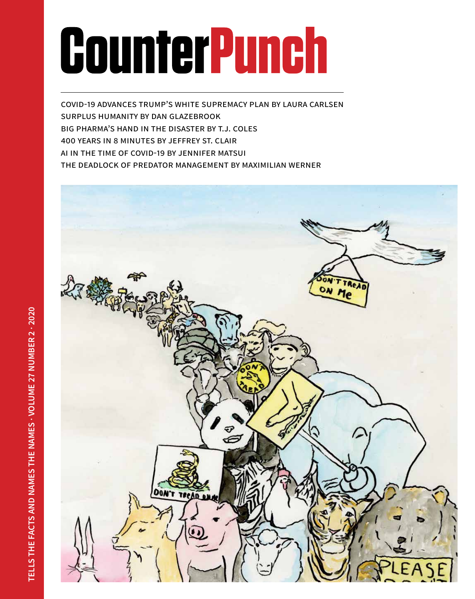# **CounterPunch**

COVID-19 Advances Trump's White Supremacy Plan by Laura Carlsen Surplus Humanity by Dan Glazebrook Big Pharma's Hand in the Disaster by T.J. Coles 400 Years in 8 Minutes by Jeffrey St. Clair AI in the Time of COVID-19 by Jennifer Matsui The Deadlock of Predator Management by Maximilian Werner

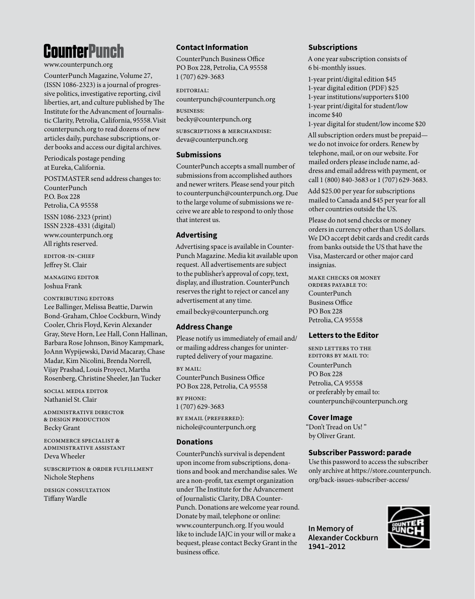## CounterPunch

www.counterpunch.org

CounterPunch Magazine, Volume 27, (ISSN 1086-2323) is a journal of progressive politics, investigative reporting, civil liberties, art, and culture published by The Institute for the Advancment of Journalistic Clarity, Petrolia, California, 95558.Visit counterpunch.org to read dozens of new articles daily, purchase subscriptions, order books and access our digital archives.

Periodicals postage pending at Eureka, California.

POSTMASTER send address changes to: CounterPunch P.O. Box 228 Petrolia, CA 95558

ISSN 1086-2323 (print) ISSN 2328-4331 (digital) www.counterpunch.org All rights reserved.

editor-in-chief Jeffrey St. Clair

MANAGING EDITOR Joshua Frank

CONTRIBUTING EDITORS Lee Ballinger, Melissa Beattie, Darwin Bond-Graham, Chloe Cockburn, Windy Cooler, Chris Floyd, Kevin Alexander Gray, Steve Horn, Lee Hall, Conn Hallinan, Barbara Rose Johnson, Binoy Kampmark, JoAnn Wypijewski, David Macaray, Chase Madar, Kim Nicolini, Brenda Norrell, Vijay Prashad, Louis Proyect, Martha Rosenberg, Christine Sheeler, Jan Tucker

SOCIaL MEDIA EDITOR Nathaniel St. Clair

administrative director & DESIGN PRODUCTION Becky Grant

ecommerce specialist & administrative assistant Deva Wheeler

Subscription & order fulfillment Nichole Stephens

DESIGN CONSULTATION Tiffany Wardle

#### **Contact Information**

CounterPunch Business Office PO Box 228, Petrolia, CA 95558 1 (707) 629-3683

editorial:

counterpunch@counterpunch.org

business:

becky@counterpunch.org

subscriptions & merchandise: deva@counterpunch.org

#### **Submissions**

CounterPunch accepts a small number of submissions from accomplished authors and newer writers. Please send your pitch to counterpunch@counterpunch.org. Due to the large volume of submissions we receive we are able to respond to only those that interest us.

#### **Advertising**

Advertising space is available in Counter-Punch Magazine. Media kit available upon request. All advertisements are subject to the publisher's approval of copy, text, display, and illustration. CounterPunch reserves the right to reject or cancel any advertisement at any time.

email becky@counterpunch.org

#### **Address Change**

Please notify us immediately of email and/ or mailing address changes for uninterrupted delivery of your magazine.

By Mail: CounterPunch Business Office PO Box 228, Petrolia, CA 95558

by Phone: 1 (707) 629-3683

By Email (preferred): nichole@counterpunch.org

#### **Donations**

CounterPunch's survival is dependent upon income from subscriptions, donations and book and merchandise sales. We are a non-profit, tax exempt organization under The Institute for the Advancement of Journalistic Clarity, DBA Counter-Punch. Donations are welcome year round. Donate by mail, telephone or online: www.counterpunch.org. If you would like to include IAJC in your will or make a bequest, please contact Becky Grant in the business office.

#### **Subscriptions**

A one year subscription consists of 6 bi-monthly issues.

1-year print/digital edition \$45 1-year digital edition (PDF) \$25 1-year institutions/supporters \$100 1-year print/digital for student/low income \$40

1-year digital for student/low income \$20

All subscription orders must be prepaid we do not invoice for orders. Renew by telephone, mail, or on our website. For mailed orders please include name, address and email address with payment, or call 1 (800) 840-3683 or 1 (707) 629-3683.

Add \$25.00 per year for subscriptions mailed to Canada and \$45 per year for all other countries outside the US.

Please do not send checks or money orders in currency other than US dollars. We DO accept debit cards and credit cards from banks outside the US that have the Visa, Mastercard or other major card insignias.

Make checks or money orders payable to: CounterPunch Business Office PO Box 228 Petrolia, CA 95558

#### **Letters to the Editor**

Send letters to the editors by mail to: CounterPunch PO Box 228 Petrolia, CA 95558 or preferably by email to: counterpunch@counterpunch.org

#### **Cover Image**

"Don't Tread on Us! " by Oliver Grant.

#### **Subscriber Password: parade**

Use this password to access the subscriber only archive at https://store.counterpunch. org/back-issues-subscriber-access/

**In Memory of Alexander Cockburn 1941–2012**

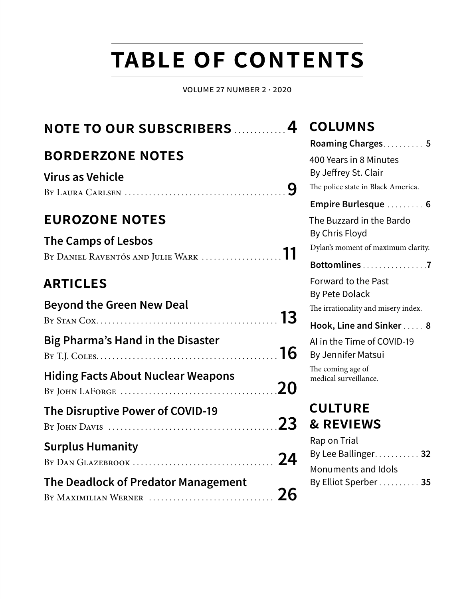## **table of contents**

VOLUME 27 NUMBER 2 · 2020

| <b>NOTE TO OUR SUBSCRIBERS </b>           | 4  | <b>COLUMNS</b>                                   |
|-------------------------------------------|----|--------------------------------------------------|
|                                           |    | Roaming Charges 5                                |
| <b>BORDERZONE NOTES</b>                   |    | 400 Years in 8 Minutes                           |
| <b>Virus as Vehicle</b>                   |    | By Jeffrey St. Clair                             |
|                                           | 9  | The police state in Black America.               |
|                                           |    | Empire Burlesque  6                              |
| <b>EUROZONE NOTES</b>                     |    | The Buzzard in the Bardo                         |
| The Camps of Lesbos                       |    | By Chris Floyd                                   |
|                                           |    | Dylan's moment of maximum clarity.               |
|                                           |    | Bottomlines 7                                    |
| <b>ARTICLES</b>                           |    | Forward to the Past                              |
| <b>Beyond the Green New Deal</b>          |    | By Pete Dolack                                   |
|                                           | 13 | The irrationality and misery index.              |
|                                           |    | Hook, Line and Sinker  8                         |
| <b>Big Pharma's Hand in the Disaster</b>  | 16 | AI in the Time of COVID-19<br>By Jennifer Matsui |
|                                           |    | The coming age of                                |
| <b>Hiding Facts About Nuclear Weapons</b> |    | medical surveillance.                            |
|                                           | 20 |                                                  |
| The Disruptive Power of COVID-19          |    | <b>CULTURE</b>                                   |
|                                           | 23 | <b>&amp; REVIEWS</b>                             |
| <b>Surplus Humanity</b>                   |    | Rap on Trial                                     |
|                                           | 24 | By Lee Ballinger 32                              |
|                                           |    | Monuments and Idols                              |
| The Deadlock of Predator Management       | 26 | By Elliot Sperber 35                             |
| BY MAXIMILIAN WERNER                      |    |                                                  |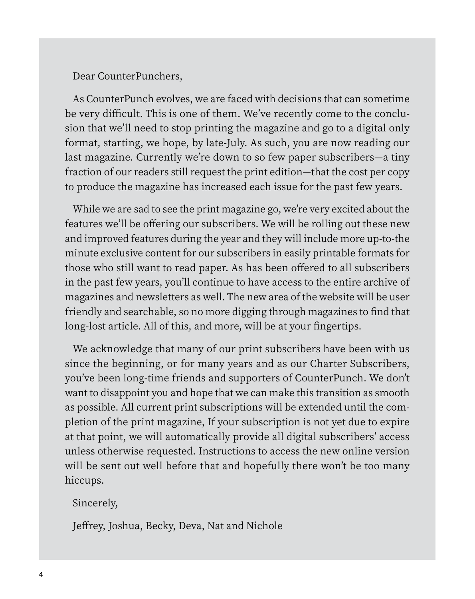#### Dear CounterPunchers,

As CounterPunch evolves, we are faced with decisions that can sometime be very difficult. This is one of them. We've recently come to the conclusion that we'll need to stop printing the magazine and go to a digital only format, starting, we hope, by late-July. As such, you are now reading our last magazine. Currently we're down to so few paper subscribers—a tiny fraction of our readers still request the print edition—that the cost per copy to produce the magazine has increased each issue for the past few years.

While we are sad to see the print magazine go, we're very excited about the features we'll be offering our subscribers. We will be rolling out these new and improved features during the year and they will include more up-to-the minute exclusive content for our subscribers in easily printable formats for those who still want to read paper. As has been offered to all subscribers in the past few years, you'll continue to have access to the entire archive of magazines and newsletters as well. The new area of the website will be user friendly and searchable, so no more digging through magazines to find that long-lost article. All of this, and more, will be at your fingertips.

We acknowledge that many of our print subscribers have been with us since the beginning, or for many years and as our Charter Subscribers, you've been long-time friends and supporters of CounterPunch. We don't want to disappoint you and hope that we can make this transition as smooth as possible. All current print subscriptions will be extended until the completion of the print magazine, If your subscription is not yet due to expire at that point, we will automatically provide all digital subscribers' access unless otherwise requested. Instructions to access the new online version will be sent out well before that and hopefully there won't be too many hiccups.

#### Sincerely,

Jeffrey, Joshua, Becky, Deva, Nat and Nichole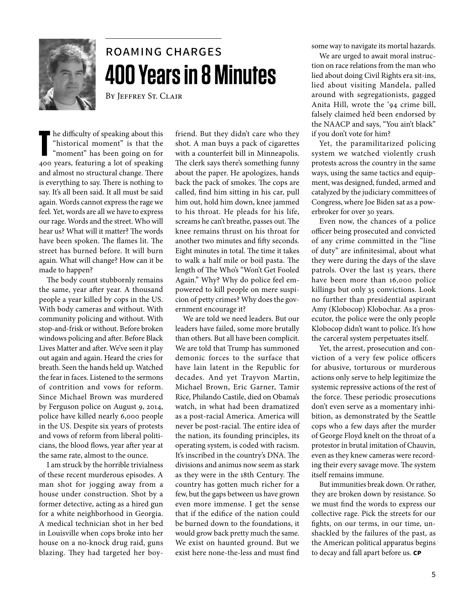

## Roaming Charges **400 Years in 8 Minutes**

By Jeffrey St. Clair

he difficulty of speaking about this "historical moment" is that the "moment" has been going on for 400 years, featuring a lot of speaking and almost no structural change. There is everything to say. There is nothing to say. It's all been said. It all must be said again. Words cannot express the rage we feel. Yet, words are all we have to express our rage. Words and the street. Who will hear us? What will it matter? The words have been spoken. The flames lit. The street has burned before. It will burn again. What will change? How can it be made to happen?

The body count stubbornly remains the same, year after year. A thousand people a year killed by cops in the US. With body cameras and without. With community policing and without. With stop-and-frisk or without. Before broken windows policing and after. Before Black Lives Matter and after. We've seen it play out again and again. Heard the cries for breath. Seen the hands held up. Watched the fear in faces. Listened to the sermons of contrition and vows for reform. Since Michael Brown was murdered by Ferguson police on August 9, 2014, police have killed nearly 6,000 people in the US. Despite six years of protests and vows of reform from liberal politicians, the blood flows, year after year at the same rate, almost to the ounce.

I am struck by the horrible trivialness of these recent murderous episodes. A man shot for jogging away from a house under construction. Shot by a former detective, acting as a hired gun for a white neighborhood in Georgia. A medical technician shot in her bed in Louisville when cops broke into her house on a no-knock drug raid, guns blazing. They had targeted her boyfriend. But they didn't care who they shot. A man buys a pack of cigarettes with a counterfeit bill in Minneapolis. The clerk says there's something funny about the paper. He apologizes, hands back the pack of smokes. The cops are called, find him sitting in his car, pull him out, hold him down, knee jammed to his throat. He pleads for his life, screams he can't breathe, passes out. The knee remains thrust on his throat for another two minutes and fifty seconds. Eight minutes in total. The time it takes to walk a half mile or boil pasta. The length of The Who's "Won't Get Fooled Again." Why? Why do police feel empowered to kill people on mere suspicion of petty crimes? Why does the government encourage it?

We are told we need leaders. But our leaders have failed, some more brutally than others. But all have been complicit. We are told that Trump has summoned demonic forces to the surface that have lain latent in the Republic for decades. And yet Trayvon Martin, Michael Brown, Eric Garner, Tamir Rice, Philando Castile, died on Obama's watch, in what had been dramatized as a post-racial America. America will never be post-racial. The entire idea of the nation, its founding principles, its operating system, is coded with racism. It's inscribed in the country's DNA. The divisions and animus now seem as stark as they were in the 18th Century. The country has gotten much richer for a few, but the gaps between us have grown even more immense. I get the sense that if the edifice of the nation could be burned down to the foundations, it would grow back pretty much the same. We exist on haunted ground. But we exist here none-the-less and must find

some way to navigate its mortal hazards.

We are urged to await moral instruction on race relations from the man who lied about doing Civil Rights era sit-ins, lied about visiting Mandela, palled around with segregationists, gagged Anita Hill, wrote the '94 crime bill, falsely claimed he'd been endorsed by the NAACP and says, "You ain't black" if you don't vote for him?

Yet, the paramilitarized policing system we watched violently crush protests across the country in the same ways, using the same tactics and equipment, was designed, funded, armed and catalyzed by the judiciary committees of Congress, where Joe Biden sat as a powerbroker for over 30 years.

Even now, the chances of a police officer being prosecuted and convicted of any crime committed in the "line of duty" are infinitesimal, about what they were during the days of the slave patrols. Over the last 15 years, there have been more than 16,000 police killings but only 35 convictions. Look no further than presidential aspirant Amy (Klobocop) Klobochar. As a prosecutor, the police were the only people Klobocop didn't want to police. It's how the carceral system perpetuates itself.

Yet, the arrest, prosecution and conviction of a very few police officers for abusive, torturous or murderous actions only serve to help legitimize the systemic repressive actions of the rest of the force. These periodic prosecutions don't even serve as a momentary inhibition, as demonstrated by the Seattle cops who a few days after the murder of George Floyd knelt on the throat of a protestor in brutal imitation of Chauvin, even as they knew cameras were recording their every savage move. The system itself remains immune.

But immunities break down. Or rather, they are broken down by resistance. So we must find the words to express our collective rage. Pick the streets for our fights, on our terms, in our time, unshackled by the failures of the past, as the American political apparatus begins to decay and fall apart before us. **CP**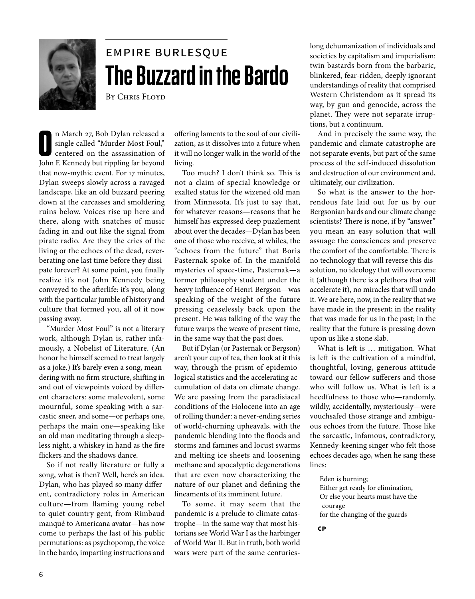

## empire burlesque The Buzzard in the Bardo

By Chris Floyd

n March 27, Bob Dylan released a single called "Murder Most Foul," centered on the assassination of John F. Kennedy but rippling far beyond that now-mythic event. For 17 minutes, Dylan sweeps slowly across a ravaged landscape, like an old buzzard peering down at the carcasses and smoldering ruins below. Voices rise up here and there, along with snatches of music fading in and out like the signal from pirate radio. Are they the cries of the living or the echoes of the dead, reverberating one last time before they dissipate forever? At some point, you finally realize it's not John Kennedy being conveyed to the afterlife: it's you, along with the particular jumble of history and culture that formed you, all of it now passing away.

"Murder Most Foul" is not a literary work, although Dylan is, rather infamously, a Nobelist of Literature. (An honor he himself seemed to treat largely as a joke.) It's barely even a song, meandering with no firm structure, shifting in and out of viewpoints voiced by different characters: some malevolent, some mournful, some speaking with a sarcastic sneer, and some—or perhaps one, perhaps the main one—speaking like an old man meditating through a sleepless night, a whiskey in hand as the fire flickers and the shadows dance.

So if not really literature or fully a song, what is then? Well, here's an idea. Dylan, who has played so many different, contradictory roles in American culture—from flaming young rebel to quiet country gent, from Rimbaud manqué to Americana avatar—has now come to perhaps the last of his public permutations: as psychopomp, the voice in the bardo, imparting instructions and

offering laments to the soul of our civilization, as it dissolves into a future when it will no longer walk in the world of the living.

Too much? I don't think so. This is not a claim of special knowledge or exalted status for the wizened old man from Minnesota. It's just to say that, for whatever reasons—reasons that he himself has expressed deep puzzlement about over the decades—Dylan has been one of those who receive, at whiles, the "echoes from the future" that Boris Pasternak spoke of. In the manifold mysteries of space-time, Pasternak—a former philosophy student under the heavy influence of Henri Bergson—was speaking of the weight of the future pressing ceaselessly back upon the present. He was talking of the way the future warps the weave of present time, in the same way that the past does.

But if Dylan (or Pasternak or Bergson) aren't your cup of tea, then look at it this way, through the prism of epidemiological statistics and the accelerating accumulation of data on climate change. We are passing from the paradisiacal conditions of the Holocene into an age of rolling thunder: a never-ending series of world-churning upheavals, with the pandemic blending into the floods and storms and famines and locust swarms and melting ice sheets and loosening methane and apocalyptic degenerations that are even now characterizing the nature of our planet and defining the lineaments of its imminent future.

To some, it may seem that the pandemic is a prelude to climate catastrophe—in the same way that most historians see World War I as the harbinger of World War II. But in truth, both world wars were part of the same centurieslong dehumanization of individuals and societies by capitalism and imperialism: twin bastards born from the barbaric, blinkered, fear-ridden, deeply ignorant understandings of reality that comprised Western Christendom as it spread its way, by gun and genocide, across the planet. They were not separate irruptions, but a continuum.

And in precisely the same way, the pandemic and climate catastrophe are not separate events, but part of the same process of the self-induced dissolution and destruction of our environment and, ultimately, our civilization.

So what is the answer to the horrendous fate laid out for us by our Bergsonian bards and our climate change scientists? There is none, if by "answer" you mean an easy solution that will assuage the consciences and preserve the comfort of the comfortable. There is no technology that will reverse this dissolution, no ideology that will overcome it (although there is a plethora that will accelerate it), no miracles that will undo it. We are here, now, in the reality that we have made in the present; in the reality that was made for us in the past; in the reality that the future is pressing down upon us like a stone slab.

What is left is … mitigation. What is left is the cultivation of a mindful, thoughtful, loving, generous attitude toward our fellow sufferers and those who will follow us. What is left is a heedfulness to those who—randomly, wildly, accidentally, mysteriously—were vouchsafed those strange and ambiguous echoes from the future. Those like the sarcastic, infamous, contradictory, Kennedy-keening singer who felt those echoes decades ago, when he sang these lines:

Eden is burning; Either get ready for elimination, Or else your hearts must have the courage for the changing of the guards

**cp**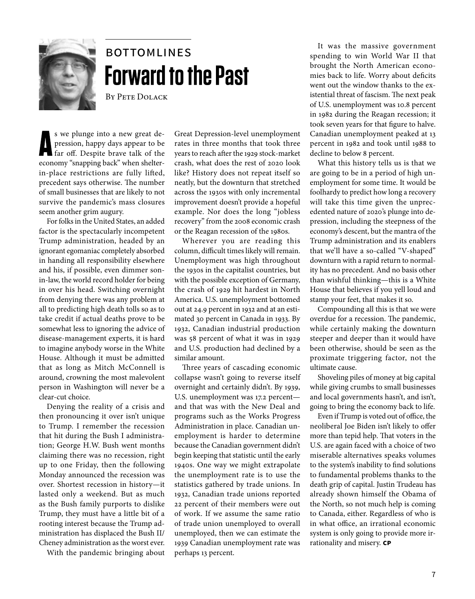

## **BOTTOMLINES Forward to the Past**

By Pete Dolack

s we plunge into a new great depression, happy days appear to be far off. Despite brave talk of the economy "snapping back" when shelterin-place restrictions are fully lifted, precedent says otherwise. The number of small businesses that are likely to not survive the pandemic's mass closures seem another grim augury.

For folks in the United States, an added factor is the spectacularly incompetent Trump administration, headed by an ignorant egomaniac completely absorbed in handing all responsibility elsewhere and his, if possible, even dimmer sonin-law, the world record holder for being in over his head. Switching overnight from denying there was any problem at all to predicting high death tolls so as to take credit if actual deaths prove to be somewhat less to ignoring the advice of disease-management experts, it is hard to imagine anybody worse in the White House. Although it must be admitted that as long as Mitch McConnell is around, crowning the most malevolent person in Washington will never be a clear-cut choice.

Denying the reality of a crisis and then pronouncing it over isn't unique to Trump. I remember the recession that hit during the Bush I administration; George H.W. Bush went months claiming there was no recession, right up to one Friday, then the following Monday announced the recession was over. Shortest recession in history—it lasted only a weekend. But as much as the Bush family purports to dislike Trump, they must have a little bit of a rooting interest because the Trump administration has displaced the Bush II/ Cheney administration as the worst ever.

With the pandemic bringing about

Great Depression-level unemployment rates in three months that took three years to reach after the 1929 stock-market crash, what does the rest of 2020 look like? History does not repeat itself so neatly, but the downturn that stretched across the 1930s with only incremental improvement doesn't provide a hopeful example. Nor does the long "jobless recovery" from the 2008 economic crash or the Reagan recession of the 1980s.

Wherever you are reading this column, difficult times likely will remain. Unemployment was high throughout the 1930s in the capitalist countries, but with the possible exception of Germany, the crash of 1929 hit hardest in North America. U.S. unemployment bottomed out at 24.9 percent in 1932 and at an estimated 30 percent in Canada in 1933. By 1932, Canadian industrial production was 58 percent of what it was in 1929 and U.S. production had declined by a similar amount.

Three years of cascading economic collapse wasn't going to reverse itself overnight and certainly didn't. By 1939, U.S. unemployment was 17.2 percent and that was with the New Deal and programs such as the Works Progress Administration in place. Canadian unemployment is harder to determine because the Canadian government didn't begin keeping that statistic until the early 1940s. One way we might extrapolate the unemployment rate is to use the statistics gathered by trade unions. In 1932, Canadian trade unions reported 22 percent of their members were out of work. If we assume the same ratio of trade union unemployed to overall unemployed, then we can estimate the 1939 Canadian unemployment rate was perhaps 13 percent.

It was the massive government spending to win World War II that brought the North American economies back to life. Worry about deficits went out the window thanks to the existential threat of fascism. The next peak of U.S. unemployment was 10.8 percent in 1982 during the Reagan recession; it took seven years for that figure to halve. Canadian unemployment peaked at 13 percent in 1982 and took until 1988 to decline to below 8 percent.

What this history tells us is that we are going to be in a period of high unemployment for some time. It would be foolhardy to predict how long a recovery will take this time given the unprecedented nature of 2020's plunge into depression, including the steepness of the economy's descent, but the mantra of the Trump administration and its enablers that we'll have a so-called "V-shaped" downturn with a rapid return to normality has no precedent. And no basis other than wishful thinking—this is a White House that believes if you yell loud and stamp your feet, that makes it so.

Compounding all this is that we were overdue for a recession. The pandemic, while certainly making the downturn steeper and deeper than it would have been otherwise, should be seen as the proximate triggering factor, not the ultimate cause.

Shoveling piles of money at big capital while giving crumbs to small businesses and local governments hasn't, and isn't, going to bring the economy back to life.

Even if Trump is voted out of office, the neoliberal Joe Biden isn't likely to offer more than tepid help. That voters in the U.S. are again faced with a choice of two miserable alternatives speaks volumes to the system's inability to find solutions to fundamental problems thanks to the death grip of capital. Justin Trudeau has already shown himself the Obama of the North, so not much help is coming to Canada, either. Regardless of who is in what office, an irrational economic system is only going to provide more irrationality and misery. **cp**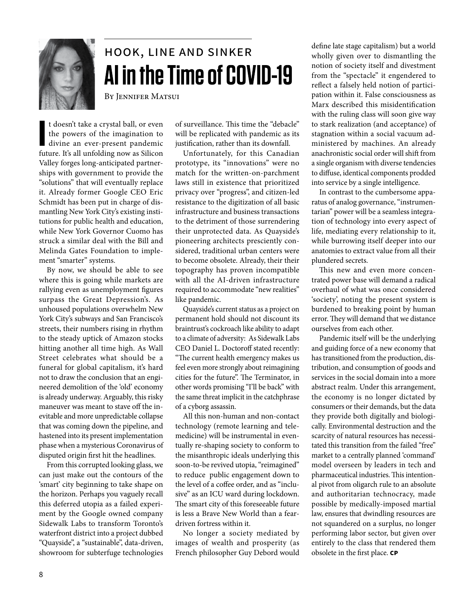

## Hook, Line and Sinker AI in the Time of COVID-19

BY JENNIFER MATSUI

**I**<br>**I**<br>fu t doesn't take a crystal ball, or even the powers of the imagination to divine an ever-present pandemic future. It's all unfolding now as Silicon Valley forges long-anticipated partnerships with government to provide the "solutions" that will eventually replace it. Already former Google CEO Eric Schmidt has been put in charge of dismantling New York City's existing institutions for public health and education, while New York Governor Cuomo has struck a similar deal with the Bill and Melinda Gates Foundation to implement "smarter" systems.

By now, we should be able to see where this is going while markets are rallying even as unemployment figures surpass the Great Depression's. As unhoused populations overwhelm New York City's subways and San Francisco's streets, their numbers rising in rhythm to the steady uptick of Amazon stocks hitting another all time high. As Wall Street celebrates what should be a funeral for global capitalism, it's hard not to draw the conclusion that an engineered demolition of the 'old' economy is already underway. Arguably, this risky maneuver was meant to stave off the inevitable and more unpredictable collapse that was coming down the pipeline, and hastened into its present implementation phase when a mysterious Coronavirus of disputed origin first hit the headlines.

From this corrupted looking glass, we can just make out the contours of the 'smart' city beginning to take shape on the horizon. Perhaps you vaguely recall this deferred utopia as a failed experiment by the Google owned company Sidewalk Labs to transform Toronto's waterfront district into a project dubbed "Quayside", a "sustainable", data-driven, showroom for subterfuge technologies

of surveillance. This time the "debacle" will be replicated with pandemic as its justification, rather than its downfall.

Unfortunately, for this Canadian prototype, its "innovations" were no match for the written-on-parchment laws still in existence that prioritized privacy over "progress", and citizen-led resistance to the digitization of all basic infrastructure and business transactions to the detriment of those surrendering their unprotected data. As Quayside's pioneering architects presciently considered, traditional urban centers were to become obsolete. Already, their their topography has proven incompatible with all the AI-driven infrastructure required to accommodate "new realities" like pandemic.

Quayside's current status as a project on permanent hold should not discount its braintrust's cockroach like ability to adapt to a climate of adversity: As Sidewalk Labs CEO Daniel L. Doctoroff stated recently: "The current health emergency makes us feel even more strongly about reimagining cities for the future". The Terminator, in other words promising "I'll be back" with the same threat implicit in the catchphrase of a cyborg assassin.

All this non-human and non-contact technology (remote learning and telemedicine) will be instrumental in eventually re-shaping society to conform to the misanthropic ideals underlying this soon-to-be revived utopia, "reimagined" to reduce public engagement down to the level of a coffee order, and as "inclusive" as an ICU ward during lockdown. The smart city of this foreseeable future is less a Brave New World than a feardriven fortress within it.

No longer a society mediated by images of wealth and prosperity (as French philosopher Guy Debord would define late stage capitalism) but a world wholly given over to dismantling the notion of society itself and divestment from the "spectacle" it engendered to reflect a falsely held notion of participation within it. False consciousness as Marx described this misidentification with the ruling class will soon give way to stark realization (and acceptance) of stagnation within a social vacuum administered by machines. An already anachronistic social order will shift from a single organism with diverse tendencies to diffuse, identical components prodded into service by a single intelligence.

In contrast to the cumbersome apparatus of analog governance, "instrumentarian" power will be a seamless integration of technology into every aspect of life, mediating every relationship to it, while burrowing itself deeper into our anatomies to extract value from all their plundered secrets.

This new and even more concentrated power base will demand a radical overhaul of what was once considered 'society', noting the present system is burdened to breaking point by human error. They will demand that we distance ourselves from each other.

Pandemic itself will be the underlying and guiding force of a new economy that has transitioned from the production, distribution, and consumption of goods and services in the social domain into a more abstract realm. Under this arrangement, the economy is no longer dictated by consumers or their demands, but the data they provide both digitally and biologically. Environmental destruction and the scarcity of natural resources has necessitated this transition from the failed "free" market to a centrally planned 'command' model overseen by leaders in tech and pharmaceutical industries. This intentional pivot from oligarch rule to an absolute and authoritarian technocracy, made possible by medically-imposed martial law, ensures that dwindling resources are not squandered on a surplus, no longer performing labor sector, but given over entirely to the class that rendered them obsolete in the first place. **CP**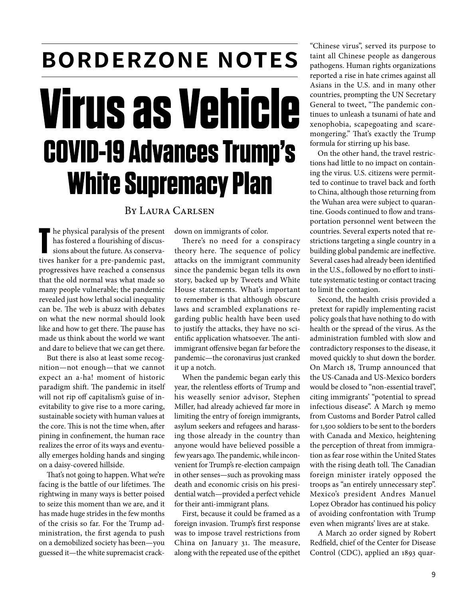## **borderzone notes Virus as Vehicle COVID-19 Advances Trump's White Supremacy Plan**

#### By Laura Carlsen

 $\blacksquare$  he physical paralysis of the present has fostered a flourishing of discussions about the future. As conservatives hanker for a pre-pandemic past, progressives have reached a consensus that the old normal was what made so many people vulnerable; the pandemic revealed just how lethal social inequality can be. The web is abuzz with debates on what the new normal should look like and how to get there. The pause has made us think about the world we want and dare to believe that we can get there.

But there is also at least some recognition—not enough—that we cannot expect an a-ha! moment of historic paradigm shift. The pandemic in itself will not rip off capitalism's guise of inevitability to give rise to a more caring, sustainable society with human values at the core. This is not the time when, after pining in confinement, the human race realizes the error of its ways and eventually emerges holding hands and singing on a daisy-covered hillside.

That's not going to happen. What we're facing is the battle of our lifetimes. The rightwing in many ways is better poised to seize this moment than we are, and it has made huge strides in the few months of the crisis so far. For the Trump administration, the first agenda to push on a demobilized society has been—you guessed it—the white supremacist crackdown on immigrants of color. There's no need for a conspiracy

theory here. The sequence of policy attacks on the immigrant community since the pandemic began tells its own story, backed up by Tweets and White House statements. What's important to remember is that although obscure laws and scrambled explanations regarding public health have been used to justify the attacks, they have no scientific application whatsoever. The antiimmigrant offensive began far before the pandemic—the coronavirus just cranked it up a notch.

When the pandemic began early this year, the relentless efforts of Trump and his weaselly senior advisor, Stephen Miller, had already achieved far more in limiting the entry of foreign immigrants, asylum seekers and refugees and harassing those already in the country than anyone would have believed possible a few years ago. The pandemic, while inconvenient for Trump's re-election campaign in other senses—such as provoking mass death and economic crisis on his presidential watch—provided a perfect vehicle for their anti-immigrant plans.

First, because it could be framed as a foreign invasion. Trump's first response was to impose travel restrictions from China on January 31. The measure, along with the repeated use of the epithet "Chinese virus", served its purpose to taint all Chinese people as dangerous pathogens. Human rights organizations reported a rise in hate crimes against all Asians in the U.S. and in many other countries, prompting the UN Secretary General to tweet, "The pandemic continues to unleash a tsunami of hate and xenophobia, scapegoating and scaremongering." That's exactly the Trump formula for stirring up his base.

On the other hand, the travel restrictions had little to no impact on containing the virus. U.S. citizens were permitted to continue to travel back and forth to China, although those returning from the Wuhan area were subject to quarantine. Goods continued to flow and transportation personnel went between the countries. Several experts noted that restrictions targeting a single country in a building global pandemic are ineffective. Several cases had already been identified in the U.S., followed by no effort to institute systematic testing or contact tracing to limit the contagion.

Second, the health crisis provided a pretext for rapidly implementing racist policy goals that have nothing to do with health or the spread of the virus. As the administration fumbled with slow and contradictory responses to the disease, it moved quickly to shut down the border. On March 18, Trump announced that the US-Canada and US-Mexico borders would be closed to "non-essential travel", citing immigrants' "potential to spread infectious disease". A March 19 memo from Customs and Border Patrol called for 1,500 soldiers to be sent to the borders with Canada and Mexico, heightening the perception of threat from immigration as fear rose within the United States with the rising death toll. The Canadian foreign minister irately opposed the troops as "an entirely unnecessary step". Mexico's president Andres Manuel Lopez Obrador has continued his policy of avoiding confrontation with Trump even when migrants' lives are at stake.

A March 20 order signed by Robert Redfield, chief of the Center for Disease Control (CDC), applied an 1893 quar-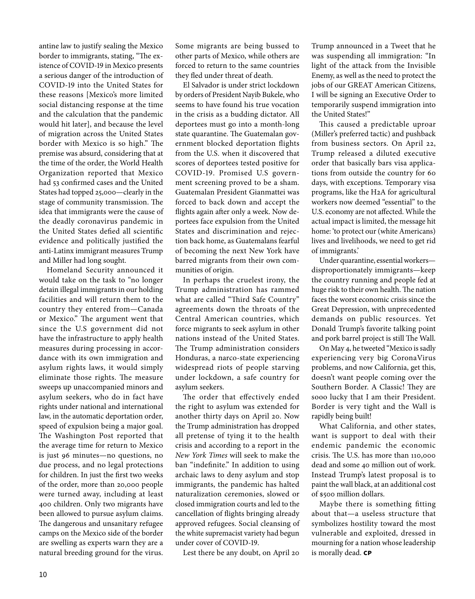antine law to justify sealing the Mexico border to immigrants, stating, "The existence of COVID-19 in Mexico presents a serious danger of the introduction of COVID-19 into the United States for these reasons [Mexico's more limited social distancing response at the time and the calculation that the pandemic would hit later], and because the level of migration across the United States border with Mexico is so high." The premise was absurd, considering that at the time of the order, the World Health Organization reported that Mexico had 53 confirmed cases and the United States had topped 25,000—clearly in the stage of community transmission. The idea that immigrants were the cause of the deadly coronavirus pandemic in the United States defied all scientific evidence and politically justified the anti-Latinx immigrant measures Trump and Miller had long sought.

Homeland Security announced it would take on the task to "no longer detain illegal immigrants in our holding facilities and will return them to the country they entered from—Canada or Mexico." The argument went that since the U.S government did not have the infrastructure to apply health measures during processing in accordance with its own immigration and asylum rights laws, it would simply eliminate those rights. The measure sweeps up unaccompanied minors and asylum seekers, who do in fact have rights under national and international law, in the automatic deportation order, speed of expulsion being a major goal. The Washington Post reported that the average time for return to Mexico is just 96 minutes—no questions, no due process, and no legal protections for children. In just the first two weeks of the order, more than 20,000 people were turned away, including at least 400 children. Only two migrants have been allowed to pursue asylum claims. The dangerous and unsanitary refugee camps on the Mexico side of the border are swelling as experts warn they are a natural breeding ground for the virus.

Some migrants are being bussed to other parts of Mexico, while others are forced to return to the same countries they fled under threat of death.

El Salvador is under strict lockdown by orders of President Nayib Bukele, who seems to have found his true vocation in the crisis as a budding dictator. All deportees must go into a month-long state quarantine. The Guatemalan government blocked deportation flights from the U.S. when it discovered that scores of deportees tested positive for COVID-19. Promised U.S government screening proved to be a sham. Guatemalan President Gianmattei was forced to back down and accept the flights again after only a week. Now deportees face expulsion from the United States and discrimination and rejection back home, as Guatemalans fearful of becoming the next New York have barred migrants from their own communities of origin.

In perhaps the cruelest irony, the Trump administration has rammed what are called "Third Safe Country" agreements down the throats of the Central American countries, which force migrants to seek asylum in other nations instead of the United States. The Trump administration considers Honduras, a narco-state experiencing widespread riots of people starving under lockdown, a safe country for asylum seekers.

The order that effectively ended the right to asylum was extended for another thirty days on April 20. Now the Trump administration has dropped all pretense of tying it to the health crisis and according to a report in the *New York Times* will seek to make the ban "indefinite." In addition to using archaic laws to deny asylum and stop immigrants, the pandemic has halted naturalization ceremonies, slowed or closed immigration courts and led to the cancellation of flights bringing already approved refugees. Social cleansing of the white supremacist variety had begun under cover of COVID-19.

Lest there be any doubt, on April 20

Trump announced in a Tweet that he was suspending all immigration: "In light of the attack from the Invisible Enemy, as well as the need to protect the jobs of our GREAT American Citizens, I will be signing an Executive Order to temporarily suspend immigration into the United States!"

This caused a predictable uproar (Miller's preferred tactic) and pushback from business sectors. On April 22, Trump released a diluted executive order that basically bars visa applications from outside the country for 60 days, with exceptions. Temporary visa programs, like the H2A for agricultural workers now deemed "essential" to the U.S. economy are not affected. While the actual impact is limited, the message hit home: 'to protect our (white Americans) lives and livelihoods, we need to get rid of immigrants.'

Under quarantine, essential workers disproportionately immigrants—keep the country running and people fed at huge risk to their own health. The nation faces the worst economic crisis since the Great Depression, with unprecedented demands on public resources. Yet Donald Trump's favorite talking point and pork barrel project is still The Wall.

On May 4, he tweeted "Mexico is sadly experiencing very big CoronaVirus problems, and now California, get this, doesn't want people coming over the Southern Border. A Classic! They are sooo lucky that I am their President. Border is very tight and the Wall is rapidly being built!

What California, and other states, want is support to deal with their endemic pandemic the economic crisis. The U.S. has more than 110,000 dead and some 40 million out of work. Instead Trump's latest proposal is to paint the wall black, at an additional cost of \$500 million dollars.

Maybe there is something fitting about that—a useless structure that symbolizes hostility toward the most vulnerable and exploited, dressed in mourning for a nation whose leadership is morally dead. **CP**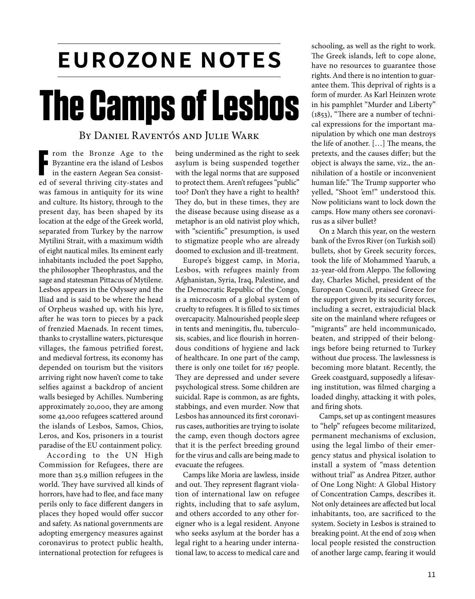## **eurozone notes The Camps of Lesbos**

#### By Daniel Raventós and Julie Wark

rom the Bronze Age to the Byzantine era the island of Lesbos in the eastern Aegean Sea consisted of several thriving city-states and was famous in antiquity for its wine and culture. Its history, through to the present day, has been shaped by its location at the edge of the Greek world, separated from Turkey by the narrow Mytilini Strait, with a maximum width of eight nautical miles. Its eminent early inhabitants included the poet Sappho, the philosopher Theophrastus, and the sage and statesman Pittacus of Mytilene. Lesbos appears in the Odyssey and the Iliad and is said to be where the head of Orpheus washed up, with his lyre, after he was torn to pieces by a pack of frenzied Maenads. In recent times, thanks to crystalline waters, picturesque villages, the famous petrified forest, and medieval fortress, its economy has depended on tourism but the visitors arriving right now haven't come to take selfies against a backdrop of ancient walls besieged by Achilles. Numbering approximately 20,000, they are among some 42,000 refugees scattered around the islands of Lesbos, Samos, Chios, Leros, and Kos, prisoners in a tourist paradise of the EU containment policy.

According to the UN High Commission for Refugees, there are more than 25.9 million refugees in the world. They have survived all kinds of horrors, have had to flee, and face many perils only to face different dangers in places they hoped would offer succor and safety. As national governments are adopting emergency measures against coronavirus to protect public health, international protection for refugees is

being undermined as the right to seek asylum is being suspended together with the legal norms that are supposed to protect them. Aren't refugees "public" too? Don't they have a right to health? They do, but in these times, they are the disease because using disease as a metaphor is an old nativist ploy which, with "scientific" presumption, is used to stigmatize people who are already doomed to exclusion and ill-treatment.

Europe's biggest camp, in Moria, Lesbos, with refugees mainly from Afghanistan, Syria, Iraq, Palestine, and the Democratic Republic of the Congo, is a microcosm of a global system of cruelty to refugees. It is filled to six times overcapacity. Malnourished people sleep in tents and meningitis, flu, tuberculosis, scabies, and lice flourish in horrendous conditions of hygiene and lack of healthcare. In one part of the camp, there is only one toilet for 167 people. They are depressed and under severe psychological stress. Some children are suicidal. Rape is common, as are fights, stabbings, and even murder. Now that Lesbos has announced its first coronavirus cases, authorities are trying to isolate the camp, even though doctors agree that it is the perfect breeding ground for the virus and calls are being made to evacuate the refugees.

Camps like Moria are lawless, inside and out. They represent flagrant violation of international law on refugee rights, including that to safe asylum, and others accorded to any other foreigner who is a legal resident. Anyone who seeks asylum at the border has a legal right to a hearing under international law, to access to medical care and

schooling, as well as the right to work. The Greek islands, left to cope alone, have no resources to guarantee those rights. And there is no intention to guarantee them. This deprival of rights is a form of murder. As Karl Heinzen wrote in his pamphlet "Murder and Liberty" (1853), "There are a number of technical expressions for the important manipulation by which one man destroys the life of another. […] The means, the pretexts, and the causes differ; but the object is always the same, viz., the annihilation of a hostile or inconvenient human life." The Trump supporter who yelled, "Shoot 'em!" understood this. Now politicians want to lock down the camps. How many others see coronavirus as a silver bullet?

On 2 March this year, on the western bank of the Evros River (on Turkish soil) bullets, shot by Greek security forces, took the life of Mohammed Yaarub, a 22-year-old from Aleppo. The following day, Charles Michel, president of the European Council, praised Greece for the support given by its security forces, including a secret, extrajudicial black site on the mainland where refugees or "migrants" are held incommunicado, beaten, and stripped of their belongings before being returned to Turkey without due process. The lawlessness is becoming more blatant. Recently, the Greek coastguard, supposedly a lifesaving institution, was filmed charging a loaded dinghy, attacking it with poles, and firing shots.

Camps, set up as contingent measures to "help" refugees become militarized, permanent mechanisms of exclusion, using the legal limbo of their emergency status and physical isolation to install a system of "mass detention without trial" as Andrea Pitzer, author of One Long Night: A Global History of Concentration Camps, describes it. Not only detainees are affected but local inhabitants, too, are sacrificed to the system. Society in Lesbos is strained to breaking point. At the end of 2019 when local people resisted the construction of another large camp, fearing it would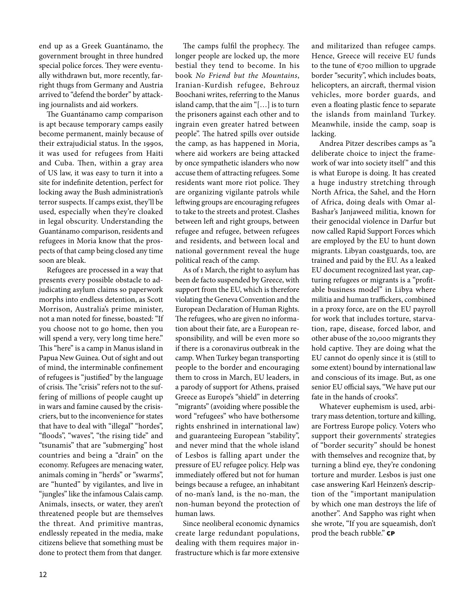end up as a Greek Guantánamo, the government brought in three hundred special police forces. They were eventually withdrawn but, more recently, farright thugs from Germany and Austria arrived to "defend the border" by attacking journalists and aid workers.

The Guantánamo camp comparison is apt because temporary camps easily become permanent, mainly because of their extrajudicial status. In the 1990s, it was used for refugees from Haiti and Cuba. Then, within a gray area of US law, it was easy to turn it into a site for indefinite detention, perfect for locking away the Bush administration's terror suspects. If camps exist, they'll be used, especially when they're cloaked in legal obscurity. Understanding the Guantánamo comparison, residents and refugees in Moria know that the prospects of that camp being closed any time soon are bleak.

Refugees are processed in a way that presents every possible obstacle to adjudicating asylum claims so paperwork morphs into endless detention, as Scott Morrison, Australia's prime minister, not a man noted for finesse, boasted: "If you choose not to go home, then you will spend a very, very long time here." This "here" is a camp in Manus island in Papua New Guinea. Out of sight and out of mind, the interminable confinement of refugees is "justified" by the language of crisis. The "crisis" refers not to the suffering of millions of people caught up in wars and famine caused by the crisiscriers, but to the inconvenience for states that have to deal with "illegal" "hordes", "floods", "waves", "the rising tide" and "tsunamis" that are "submerging" host countries and being a "drain" on the economy. Refugees are menacing water, animals coming in "herds" or "swarms", are "hunted" by vigilantes, and live in "jungles" like the infamous Calais camp. Animals, insects, or water, they aren't threatened people but are themselves the threat. And primitive mantras, endlessly repeated in the media, make citizens believe that something must be done to protect them from that danger.

The camps fulfil the prophecy. The longer people are locked up, the more bestial they tend to become. In his book *No Friend but the Mountains*, Iranian-Kurdish refugee, Behrouz Boochani writes, referring to the Manus island camp, that the aim "[…] is to turn the prisoners against each other and to ingrain even greater hatred between people". The hatred spills over outside the camp, as has happened in Moria, where aid workers are being attacked by once sympathetic islanders who now accuse them of attracting refugees. Some residents want more riot police. They are organizing vigilante patrols while leftwing groups are encouraging refugees to take to the streets and protest. Clashes between left and right groups, between refugee and refugee, between refugees and residents, and between local and national government reveal the huge political reach of the camp.

As of 1 March, the right to asylum has been de facto suspended by Greece, with support from the EU, which is therefore violating the Geneva Convention and the European Declaration of Human Rights. The refugees, who are given no information about their fate, are a European responsibility, and will be even more so if there is a coronavirus outbreak in the camp. When Turkey began transporting people to the border and encouraging them to cross in March, EU leaders, in a parody of support for Athens, praised Greece as Europe's "shield" in deterring "migrants" (avoiding where possible the word "refugees" who have bothersome rights enshrined in international law) and guaranteeing European "stability", and never mind that the whole island of Lesbos is falling apart under the pressure of EU refugee policy. Help was immediately offered but not for human beings because a refugee, an inhabitant of no-man's land, is the no-man, the non-human beyond the protection of human laws.

Since neoliberal economic dynamics create large redundant populations, dealing with them requires major infrastructure which is far more extensive

and militarized than refugee camps. Hence, Greece will receive EU funds to the tune of  $\varepsilon$ 700 million to upgrade border "security", which includes boats, helicopters, an aircraft, thermal vision vehicles, more border guards, and even a floating plastic fence to separate the islands from mainland Turkey. Meanwhile, inside the camp, soap is lacking.

Andrea Pitzer describes camps as "a deliberate choice to inject the framework of war into society itself" and this is what Europe is doing. It has created a huge industry stretching through North Africa, the Sahel, and the Horn of Africa, doing deals with Omar al-Bashar's Janjaweed militia, known for their genocidal violence in Darfur but now called Rapid Support Forces which are employed by the EU to hunt down migrants. Libyan coastguards, too, are trained and paid by the EU. As a leaked EU document recognized last year, capturing refugees or migrants is a "profitable business model" in Libya where militia and human traffickers, combined in a proxy force, are on the EU payroll for work that includes torture, starvation, rape, disease, forced labor, and other abuse of the 20,000 migrants they hold captive. They are doing what the EU cannot do openly since it is (still to some extent) bound by international law and conscious of its image. But, as one senior EU official says, "We have put our fate in the hands of crooks".

Whatever euphemism is used, arbitrary mass detention, torture and killing, are Fortress Europe policy. Voters who support their governments' strategies of "border security" should be honest with themselves and recognize that, by turning a blind eye, they're condoning torture and murder. Lesbos is just one case answering Karl Heinzen's description of the "important manipulation by which one man destroys the life of another". And Sappho was right when she wrote, "If you are squeamish, don't prod the beach rubble." **CP**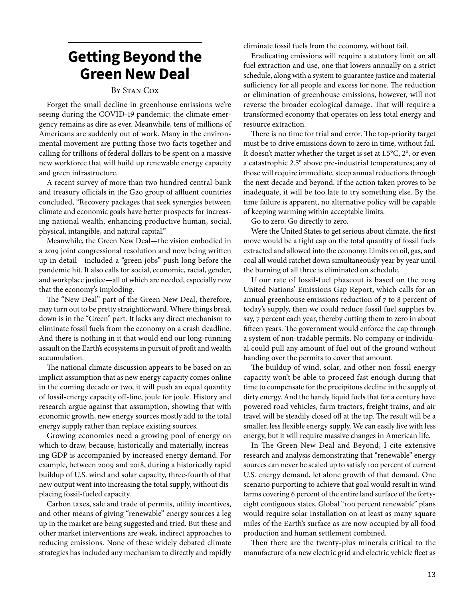## **Getting Beyond the Green New Deal**

#### BY STAN COX

Forget the small decline in greenhouse emissions we're seeing during the COVID-19 pandemic; the climate emergency remains as dire as ever. Meanwhile, tens of millions of Americans are suddenly out of work. Many in the environmental movement are putting those two facts together and calling for trillions of federal dollars to be spent on a massive new workforce that will build up renewable energy capacity and green infrastructure.

A recent survey of more than two hundred central-bank and treasury officials in the G20 group of affluent countries concluded, "Recovery packages that seek synergies between climate and economic goals have better prospects for increasing national wealth, enhancing productive human, social, physical, intangible, and natural capital."

Meanwhile, the Green New Deal—the vision embodied in a 2019 joint congressional resolution and now being written up in detail—included a "green jobs" push long before the pandemic hit. It also calls for social, economic, racial, gender, and workplace justice—all of which are needed, especially now that the economy's imploding.

The "New Deal" part of the Green New Deal, therefore, may turn out to be pretty straightforward. Where things break down is in the "Green" part. It lacks any direct mechanism to eliminate fossil fuels from the economy on a crash deadline. And there is nothing in it that would end our long-running assault on the Earth's ecosystems in pursuit of profit and wealth accumulation.

The national climate discussion appears to be based on an implicit assumption that as new energy capacity comes online in the coming decade or two, it will push an equal quantity of fossil-energy capacity off-line, joule for joule. History and research argue against that assumption, showing that with economic growth, new energy sources mostly add to the total energy supply rather than replace existing sources.

Growing economies need a growing pool of energy on which to draw, because, historically and materially, increasing GDP is accompanied by increased energy demand. For example, between 2009 and 2018, during a historically rapid buildup of U.S. wind and solar capacity, three-fourth of that new output went into increasing the total supply, without displacing fossil-fueled capacity.

Carbon taxes, sale and trade of permits, utility incentives, and other means of giving "renewable" energy sources a leg up in the market are being suggested and tried. But these and other market interventions are weak, indirect approaches to reducing emissions. None of these widely debated climate strategies has included any mechanism to directly and rapidly eliminate fossil fuels from the economy, without fail.

Eradicating emissions will require a statutory limit on all fuel extraction and use, one that lowers annually on a strict schedule, along with a system to guarantee justice and material sufficiency for all people and excess for none. The reduction or elimination of greenhouse emissions, however, will not reverse the broader ecological damage. That will require a transformed economy that operates on less total energy and resource extraction.

There is no time for trial and error. The top-priority target must be to drive emissions down to zero in time, without fail. It doesn't matter whether the target is set at 1.5°C, 2°, or even a catastrophic 2.5° above pre-industrial temperatures; any of those will require immediate, steep annual reductions through the next decade and beyond. If the action taken proves to be inadequate, it will be too late to try something else. By the time failure is apparent, no alternative policy will be capable of keeping warming within acceptable limits.

Go to zero. Go directly to zero.

Were the United States to get serious about climate, the first move would be a tight cap on the total quantity of fossil fuels extracted and allowed into the economy. Limits on oil, gas, and coal all would ratchet down simultaneously year by year until the burning of all three is eliminated on schedule.

If our rate of fossil-fuel phaseout is based on the 2019 United Nations' Emissions Gap Report, which calls for an annual greenhouse emissions reduction of 7 to 8 percent of today's supply, then we could reduce fossil fuel supplies by, say, 7 percent each year, thereby cutting them to zero in about fifteen years. The government would enforce the cap through a system of non-tradable permits. No company or individual could pull any amount of fuel out of the ground without handing over the permits to cover that amount.

The buildup of wind, solar, and other non-fossil energy capacity won't be able to proceed fast enough during that time to compensate for the precipitous decline in the supply of dirty energy. And the handy liquid fuels that for a century have powered road vehicles, farm tractors, freight trains, and air travel will be steadily closed off at the tap. The result will be a smaller, less flexible energy supply. We can easily live with less energy, but it will require massive changes in American life.

In The Green New Deal and Beyond, I cite extensive research and analysis demonstrating that "renewable" energy sources can never be scaled up to satisfy 100 percent of current U.S. energy demand, let alone growth of that demand. One scenario purporting to achieve that goal would result in wind farms covering 6 percent of the entire land surface of the fortyeight contiguous states. Global "100 percent renewable" plans would require solar installation on at least as many square miles of the Earth's surface as are now occupied by all food production and human settlement combined.

Then there are the twenty-plus minerals critical to the manufacture of a new electric grid and electric vehicle fleet as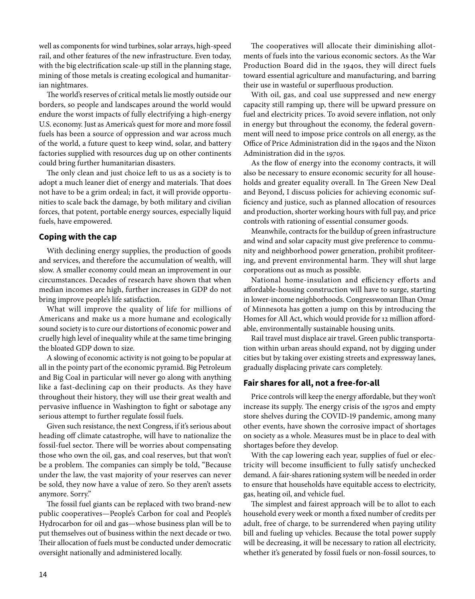well as components for wind turbines, solar arrays, high-speed rail, and other features of the new infrastructure. Even today, with the big electrification scale-up still in the planning stage, mining of those metals is creating ecological and humanitarian nightmares.

The world's reserves of critical metals lie mostly outside our borders, so people and landscapes around the world would endure the worst impacts of fully electrifying a high-energy U.S. economy. Just as America's quest for more and more fossil fuels has been a source of oppression and war across much of the world, a future quest to keep wind, solar, and battery factories supplied with resources dug up on other continents could bring further humanitarian disasters.

The only clean and just choice left to us as a society is to adopt a much leaner diet of energy and materials. That does not have to be a grim ordeal; in fact, it will provide opportunities to scale back the damage, by both military and civilian forces, that potent, portable energy sources, especially liquid fuels, have empowered.

#### **Coping with the cap**

With declining energy supplies, the production of goods and services, and therefore the accumulation of wealth, will slow. A smaller economy could mean an improvement in our circumstances. Decades of research have shown that when median incomes are high, further increases in GDP do not bring improve people's life satisfaction.

What will improve the quality of life for millions of Americans and make us a more humane and ecologically sound society is to cure our distortions of economic power and cruelly high level of inequality while at the same time bringing the bloated GDP down to size.

A slowing of economic activity is not going to be popular at all in the pointy part of the economic pyramid. Big Petroleum and Big Coal in particular will never go along with anything like a fast-declining cap on their products. As they have throughout their history, they will use their great wealth and pervasive influence in Washington to fight or sabotage any serious attempt to further regulate fossil fuels.

Given such resistance, the next Congress, if it's serious about heading off climate catastrophe, will have to nationalize the fossil-fuel sector. There will be worries about compensating those who own the oil, gas, and coal reserves, but that won't be a problem. The companies can simply be told, "Because under the law, the vast majority of your reserves can never be sold, they now have a value of zero. So they aren't assets anymore. Sorry."

The fossil fuel giants can be replaced with two brand-new public cooperatives—People's Carbon for coal and People's Hydrocarbon for oil and gas—whose business plan will be to put themselves out of business within the next decade or two. Their allocation of fuels must be conducted under democratic oversight nationally and administered locally.

The cooperatives will allocate their diminishing allotments of fuels into the various economic sectors. As the War Production Board did in the 1940s, they will direct fuels toward essential agriculture and manufacturing, and barring their use in wasteful or superfluous production.

With oil, gas, and coal use suppressed and new energy capacity still ramping up, there will be upward pressure on fuel and electricity prices. To avoid severe inflation, not only in energy but throughout the economy, the federal government will need to impose price controls on all energy, as the Office of Price Administration did in the 1940s and the Nixon Administration did in the 1970s.

As the flow of energy into the economy contracts, it will also be necessary to ensure economic security for all households and greater equality overall. In The Green New Deal and Beyond, I discuss policies for achieving economic sufficiency and justice, such as planned allocation of resources and production, shorter working hours with full pay, and price controls with rationing of essential consumer goods.

Meanwhile, contracts for the buildup of green infrastructure and wind and solar capacity must give preference to community and neighborhood power generation, prohibit profiteering, and prevent environmental harm. They will shut large corporations out as much as possible.

National home-insulation and efficiency efforts and affordable-housing construction will have to surge, starting in lower-income neighborhoods. Congresswoman Ilhan Omar of Minnesota has gotten a jump on this by introducing the Homes for All Act, which would provide for 12 million affordable, environmentally sustainable housing units.

Rail travel must displace air travel. Green public transportation within urban areas should expand, not by digging under cities but by taking over existing streets and expressway lanes, gradually displacing private cars completely.

#### **Fair shares for all, not a free-for-all**

Price controls will keep the energy affordable, but they won't increase its supply. The energy crisis of the 1970s and empty store shelves during the COVID-19 pandemic, among many other events, have shown the corrosive impact of shortages on society as a whole. Measures must be in place to deal with shortages before they develop.

With the cap lowering each year, supplies of fuel or electricity will become insufficient to fully satisfy unchecked demand. A fair-shares rationing system will be needed in order to ensure that households have equitable access to electricity, gas, heating oil, and vehicle fuel.

The simplest and fairest approach will be to allot to each household every week or month a fixed number of credits per adult, free of charge, to be surrendered when paying utility bill and fueling up vehicles. Because the total power supply will be decreasing, it will be necessary to ration all electricity, whether it's generated by fossil fuels or non-fossil sources, to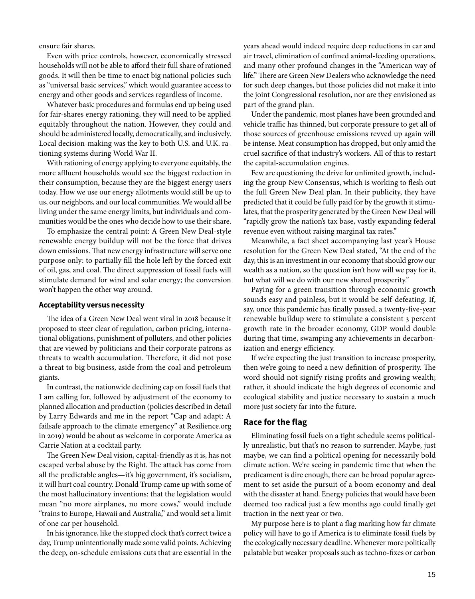ensure fair shares.

Even with price controls, however, economically stressed households will not be able to afford their full share of rationed goods. It will then be time to enact big national policies such as "universal basic services," which would guarantee access to energy and other goods and services regardless of income.

Whatever basic procedures and formulas end up being used for fair-shares energy rationing, they will need to be applied equitably throughout the nation. However, they could and should be administered locally, democratically, and inclusively. Local decision-making was the key to both U.S. and U.K. rationing systems during World War II.

With rationing of energy applying to everyone equitably, the more affluent households would see the biggest reduction in their consumption, because they are the biggest energy users today. How we use our energy allotments would still be up to us, our neighbors, and our local communities. We would all be living under the same energy limits, but individuals and communities would be the ones who decide how to use their share.

To emphasize the central point: A Green New Deal-style renewable energy buildup will not be the force that drives down emissions. That new energy infrastructure will serve one purpose only: to partially fill the hole left by the forced exit of oil, gas, and coal. The direct suppression of fossil fuels will stimulate demand for wind and solar energy; the conversion won't happen the other way around.

#### **Acceptability versus necessity**

The idea of a Green New Deal went viral in 2018 because it proposed to steer clear of regulation, carbon pricing, international obligations, punishment of polluters, and other policies that are viewed by politicians and their corporate patrons as threats to wealth accumulation. Therefore, it did not pose a threat to big business, aside from the coal and petroleum giants.

In contrast, the nationwide declining cap on fossil fuels that I am calling for, followed by adjustment of the economy to planned allocation and production (policies described in detail by Larry Edwards and me in the report "Cap and adapt: A failsafe approach to the climate emergency" at Resilience.org in 2019) would be about as welcome in corporate America as Carrie Nation at a cocktail party.

The Green New Deal vision, capital-friendly as it is, has not escaped verbal abuse by the Right. The attack has come from all the predictable angles—it's big government, it's socialism, it will hurt coal country. Donald Trump came up with some of the most hallucinatory inventions: that the legislation would mean "no more airplanes, no more cows," would include "trains to Europe, Hawaii and Australia," and would set a limit of one car per household.

In his ignorance, like the stopped clock that's correct twice a day, Trump unintentionally made some valid points. Achieving the deep, on-schedule emissions cuts that are essential in the

years ahead would indeed require deep reductions in car and air travel, elimination of confined animal-feeding operations, and many other profound changes in the "American way of life." There are Green New Dealers who acknowledge the need for such deep changes, but those policies did not make it into the joint Congressional resolution, nor are they envisioned as part of the grand plan.

Under the pandemic, most planes have been grounded and vehicle traffic has thinned, but corporate pressure to get all of those sources of greenhouse emissions revved up again will be intense. Meat consumption has dropped, but only amid the cruel sacrifice of that industry's workers. All of this to restart the capital-accumulation engines.

Few are questioning the drive for unlimited growth, including the group New Consensus, which is working to flesh out the full Green New Deal plan. In their publicity, they have predicted that it could be fully paid for by the growth it stimulates, that the prosperity generated by the Green New Deal will "rapidly grow the nation's tax base, vastly expanding federal revenue even without raising marginal tax rates."

Meanwhile, a fact sheet accompanying last year's House resolution for the Green New Deal stated, "At the end of the day, this is an investment in our economy that should grow our wealth as a nation, so the question isn't how will we pay for it, but what will we do with our new shared prosperity."

Paying for a green transition through economic growth sounds easy and painless, but it would be self-defeating. If, say, once this pandemic has finally passed, a twenty-five-year renewable buildup were to stimulate a consistent 3 percent growth rate in the broader economy, GDP would double during that time, swamping any achievements in decarbonization and energy efficiency.

If we're expecting the just transition to increase prosperity, then we're going to need a new definition of prosperity. The word should not signify rising profits and growing wealth; rather, it should indicate the high degrees of economic and ecological stability and justice necessary to sustain a much more just society far into the future.

#### **Race for the flag**

Eliminating fossil fuels on a tight schedule seems politically unrealistic, but that's no reason to surrender. Maybe, just maybe, we can find a political opening for necessarily bold climate action. We're seeing in pandemic time that when the predicament is dire enough, there can be broad popular agreement to set aside the pursuit of a boom economy and deal with the disaster at hand. Energy policies that would have been deemed too radical just a few months ago could finally get traction in the next year or two.

My purpose here is to plant a flag marking how far climate policy will have to go if America is to eliminate fossil fuels by the ecologically necessary deadline. Whenever more politically palatable but weaker proposals such as techno-fixes or carbon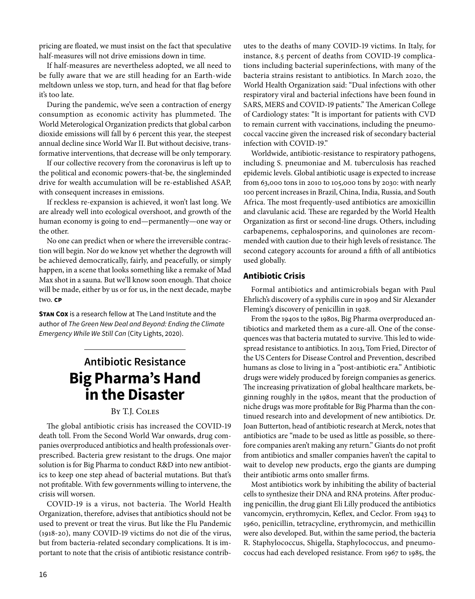pricing are floated, we must insist on the fact that speculative half-measures will not drive emissions down in time.

If half-measures are nevertheless adopted, we all need to be fully aware that we are still heading for an Earth-wide meltdown unless we stop, turn, and head for that flag before it's too late.

During the pandemic, we've seen a contraction of energy consumption as economic activity has plummeted. The World Meterological Organization predicts that global carbon dioxide emissions will fall by 6 percent this year, the steepest annual decline since World War II. But without decisive, transformative interventions, that decrease will be only temporary.

If our collective recovery from the coronavirus is left up to the political and economic powers-that-be, the singleminded drive for wealth accumulation will be re-established ASAP, with consequent increases in emissions.

If reckless re-expansion is achieved, it won't last long. We are already well into ecological overshoot, and growth of the human economy is going to end—permanently—one way or the other.

No one can predict when or where the irreversible contraction will begin. Nor do we know yet whether the degrowth will be achieved democratically, fairly, and peacefully, or simply happen, in a scene that looks something like a remake of Mad Max shot in a sauna. But we'll know soon enough. That choice will be made, either by us or for us, in the next decade, maybe two. **CP**

**Stan Cox** is a research fellow at The Land Institute and the author of *The Green New Deal and Beyond: Ending the Climate Emergency While We Still Can* (City Lights, 2020).

### **Antibiotic Resistance Big Pharma's Hand in the Disaster**

#### By T.J. Coles

The global antibiotic crisis has increased the COVID-19 death toll. From the Second World War onwards, drug companies overproduced antibiotics and health professionals overprescribed. Bacteria grew resistant to the drugs. One major solution is for Big Pharma to conduct R&D into new antibiotics to keep one step ahead of bacterial mutations. But that's not profitable. With few governments willing to intervene, the crisis will worsen.

COVID-19 is a virus, not bacteria. The World Health Organization, therefore, advises that antibiotics should not be used to prevent or treat the virus. But like the Flu Pandemic (1918-20), many COVID-19 victims do not die of the virus, but from bacteria-related secondary complications. It is important to note that the crisis of antibiotic resistance contributes to the deaths of many COVID-19 victims. In Italy, for instance, 8.5 percent of deaths from COVID-19 complications including bacterial superinfections, with many of the bacteria strains resistant to antibiotics. In March 2020, the World Health Organization said: "Dual infections with other respiratory viral and bacterial infections have been found in SARS, MERS and COVID-19 patients." The American College of Cardiology states: "It is important for patients with CVD to remain current with vaccinations, including the pneumococcal vaccine given the increased risk of secondary bacterial infection with COVID-19."

Worldwide, antibiotic-resistance to respiratory pathogens, including S. pneumoniae and M. tuberculosis has reached epidemic levels. Global antibiotic usage is expected to increase from 63,000 tons in 2010 to 105,000 tons by 2030: with nearly 100 percent increases in Brazil, China, India, Russia, and South Africa. The most frequently-used antibiotics are amoxicillin and clavulanic acid. These are regarded by the World Health Organization as first or second-line drugs. Others, including carbapenems, cephalosporins, and quinolones are recommended with caution due to their high levels of resistance. The second category accounts for around a fifth of all antibiotics used globally.

#### **Antibiotic Crisis**

Formal antibiotics and antimicrobials began with Paul Ehrlich's discovery of a syphilis cure in 1909 and Sir Alexander Fleming's discovery of penicillin in 1928.

From the 1940s to the 1980s, Big Pharma overproduced antibiotics and marketed them as a cure-all. One of the consequences was that bacteria mutated to survive. This led to widespread resistance to antibiotics. In 2013, Tom Fried, Director of the US Centers for Disease Control and Prevention, described humans as close to living in a "post-antibiotic era." Antibiotic drugs were widely produced by foreign companies as generics. The increasing privatization of global healthcare markets, beginning roughly in the 1980s, meant that the production of niche drugs was more profitable for Big Pharma than the continued research into and development of new antibiotics. Dr. Joan Butterton, head of antibiotic research at Merck, notes that antibiotics are "made to be used as little as possible, so therefore companies aren't making any return." Giants do not profit from antibiotics and smaller companies haven't the capital to wait to develop new products, ergo the giants are dumping their antibiotic arms onto smaller firms.

Most antibiotics work by inhibiting the ability of bacterial cells to synthesize their DNA and RNA proteins. After producing penicillin, the drug giant Eli Lilly produced the antibiotics vancomycin, erythromycin, Keflex, and Ceclor. From 1943 to 1960, penicillin, tetracycline, erythromycin, and methicillin were also developed. But, within the same period, the bacteria R. Staphylococcus, Shigella, Staphylococcus, and pneumococcus had each developed resistance. From 1967 to 1985, the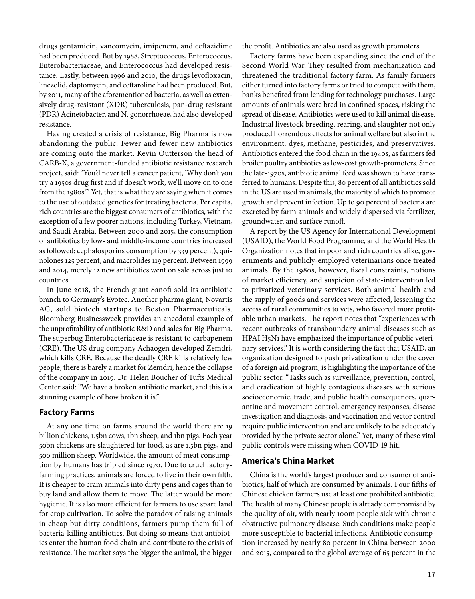drugs gentamicin, vancomycin, imipenem, and ceftazidime had been produced. But by 1988, Streptococcus, Enterococcus, Enterobacteriaceae, and Enterococcus had developed resistance. Lastly, between 1996 and 2010, the drugs levofloxacin, linezolid, daptomycin, and ceftaroline had been produced. But, by 2011, many of the aforementioned bacteria, as well as extensively drug-resistant (XDR) tuberculosis, pan-drug resistant (PDR) Acinetobacter, and N. gonorrhoeae, had also developed resistance.

Having created a crisis of resistance, Big Pharma is now abandoning the public. Fewer and fewer new antibiotics are coming onto the market. Kevin Outterson the head of CARB-X, a government-funded antibiotic resistance research project, said: "You'd never tell a cancer patient, 'Why don't you try a 1950s drug first and if doesn't work, we'll move on to one from the 1980s.'" Yet, that is what they are saying when it comes to the use of outdated genetics for treating bacteria. Per capita, rich countries are the biggest consumers of antibiotics, with the exception of a few poorer nations, including Turkey, Vietnam, and Saudi Arabia. Between 2000 and 2015, the consumption of antibiotics by low- and middle-income countries increased as followed: cephalosporins consumption by 339 percent), quinolones 125 percent, and macrolides 119 percent. Between 1999 and 2014, merely 12 new antibiotics went on sale across just 10 countries.

In June 2018, the French giant Sanofi sold its antibiotic branch to Germany's Evotec. Another pharma giant, Novartis AG, sold biotech startups to Boston Pharmaceuticals. Bloomberg Businessweek provides an anecdotal example of the unprofitability of antibiotic R&D and sales for Big Pharma. The superbug Enterobacteriaceae is resistant to carbapenem (CRE). The US drug company Achaogen developed Zemdri, which kills CRE. Because the deadly CRE kills relatively few people, there is barely a market for Zemdri, hence the collapse of the company in 2019. Dr. Helen Boucher of Tufts Medical Center said: "We have a broken antibiotic market, and this is a stunning example of how broken it is."

#### **Factory Farms**

At any one time on farms around the world there are 19 billion chickens, 1.5bn cows, 1bn sheep, and 1bn pigs. Each year 50bn chickens are slaughtered for food, as are 1.5bn pigs, and 500 million sheep. Worldwide, the amount of meat consumption by humans has tripled since 1970. Due to cruel factoryfarming practices, animals are forced to live in their own filth. It is cheaper to cram animals into dirty pens and cages than to buy land and allow them to move. The latter would be more hygienic. It is also more efficient for farmers to use spare land for crop cultivation. To solve the paradox of raising animals in cheap but dirty conditions, farmers pump them full of bacteria-killing antibiotics. But doing so means that antibiotics enter the human food chain and contribute to the crisis of resistance. The market says the bigger the animal, the bigger

the profit. Antibiotics are also used as growth promoters.

Factory farms have been expanding since the end of the Second World War. They resulted from mechanization and threatened the traditional factory farm. As family farmers either turned into factory farms or tried to compete with them, banks benefited from lending for technology purchases. Large amounts of animals were bred in confined spaces, risking the spread of disease. Antibiotics were used to kill animal disease. Industrial livestock breeding, rearing, and slaughter not only produced horrendous effects for animal welfare but also in the environment: dyes, methane, pesticides, and preservatives. Antibiotics entered the food chain in the 1940s, as farmers fed broiler poultry antibiotics as low-cost growth-promoters. Since the late-1970s, antibiotic animal feed was shown to have transferred to humans. Despite this, 80 percent of all antibiotics sold in the US are used in animals, the majority of which to promote growth and prevent infection. Up to 90 percent of bacteria are excreted by farm animals and widely dispersed via fertilizer, groundwater, and surface runoff.

A report by the US Agency for International Development (USAID), the World Food Programme, and the World Health Organization notes that in poor and rich countries alike, governments and publicly-employed veterinarians once treated animals. By the 1980s, however, fiscal constraints, notions of market efficiency, and suspicion of state-intervention led to privatized veterinary services. Both animal health and the supply of goods and services were affected, lessening the access of rural communities to vets, who favored more profitable urban markets. The report notes that "experiences with recent outbreaks of transboundary animal diseases such as HPAI H5N1 have emphasized the importance of public veterinary services." It is worth considering the fact that USAID, an organization designed to push privatization under the cover of a foreign aid program, is highlighting the importance of the public sector. "Tasks such as surveillance, prevention, control, and eradication of highly contagious diseases with serious socioeconomic, trade, and public health consequences, quarantine and movement control, emergency responses, disease investigation and diagnosis, and vaccination and vector control require public intervention and are unlikely to be adequately provided by the private sector alone." Yet, many of these vital public controls were missing when COVID-19 hit.

#### **America's China Market**

China is the world's largest producer and consumer of antibiotics, half of which are consumed by animals. Four fifths of Chinese chicken farmers use at least one prohibited antibiotic. The health of many Chinese people is already compromised by the quality of air, with nearly 100m people sick with chronic obstructive pulmonary disease. Such conditions make people more susceptible to bacterial infections. Antibiotic consumption increased by nearly 80 percent in China between 2000 and 2015, compared to the global average of 65 percent in the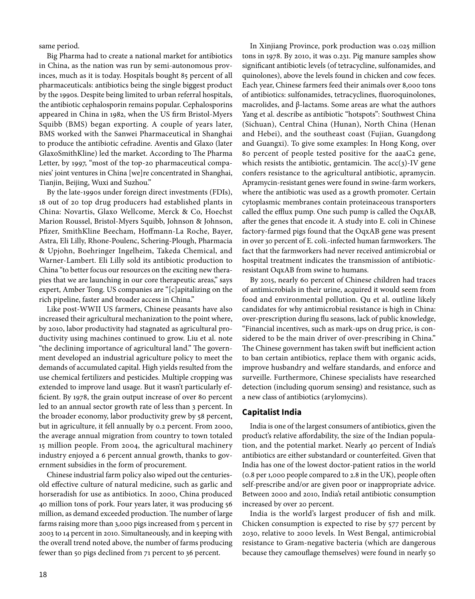same period.

Big Pharma had to create a national market for antibiotics in China, as the nation was run by semi-autonomous provinces, much as it is today. Hospitals bought 85 percent of all pharmaceuticals: antibiotics being the single biggest product by the 1990s. Despite being limited to urban referral hospitals, the antibiotic cephalosporin remains popular. Cephalosporins appeared in China in 1982, when the US firm Bristol-Myers Squibb (BMS) began exporting. A couple of years later, BMS worked with the Sanwei Pharmaceutical in Shanghai to produce the antibiotic cefradine. Aventis and Glaxo (later GlaxoSmithKline) led the market. According to The Pharma Letter, by 1997, "most of the top-20 pharmaceutical companies' joint ventures in China [we]re concentrated in Shanghai, Tianjin, Beijing, Wuxi and Suzhou."

By the late-1990s under foreign direct investments (FDIs), 18 out of 20 top drug producers had established plants in China: Novartis, Glaxo Wellcome, Merck & Co, Hoechst Marion Roussel, Bristol-Myers Squibb, Johnson & Johnson, Pfizer, SmithKline Beecham, Hoffmann-La Roche, Bayer, Astra, Eli Lilly, Rhone-Poulenc, Schering-Plough, Pharmacia & Upjohn, Boehringer Ingelheim, Takeda Chemical, and Warner-Lambert. Eli Lilly sold its antibiotic production to China "to better focus our resources on the exciting new therapies that we are launching in our core therapeutic areas," says expert, Amber Tong. US companies are "[c]apitalizing on the rich pipeline, faster and broader access in China."

Like post-WWII US farmers, Chinese peasants have also increased their agricultural mechanization to the point where, by 2010, labor productivity had stagnated as agricultural productivity using machines continued to grow. Liu et al. note "the declining importance of agricultural land." The government developed an industrial agriculture policy to meet the demands of accumulated capital. High yields resulted from the use chemical fertilizers and pesticides. Multiple cropping was extended to improve land usage. But it wasn't particularly efficient. By 1978, the grain output increase of over 80 percent led to an annual sector growth rate of less than 3 percent. In the broader economy, labor productivity grew by 58 percent, but in agriculture, it fell annually by 0.2 percent. From 2000, the average annual migration from country to town totaled 15 million people. From 2004, the agricultural machinery industry enjoyed a 6 percent annual growth, thanks to government subsidies in the form of procurement.

Chinese industrial farm policy also wiped out the centuriesold effective culture of natural medicine, such as garlic and horseradish for use as antibiotics. In 2000, China produced 40 million tons of pork. Four years later, it was producing 56 million, as demand exceeded production. The number of large farms raising more than 3,000 pigs increased from 5 percent in 2003 to 14 percent in 2010. Simultaneously, and in keeping with the overall trend noted above, the number of farms producing fewer than 50 pigs declined from 71 percent to 36 percent.

In Xinjiang Province, pork production was 0.025 million tons in 1978. By 2010, it was 0.231. Pig manure samples show significant antibiotic levels (of tetracycline, sulfonamides, and quinolones), above the levels found in chicken and cow feces. Each year, Chinese farmers feed their animals over 8,000 tons of antibiotics: sulfonamides, tetracyclines, fluoroquinolones, macrolides, and β-lactams. Some areas are what the authors Yang et al. describe as antibiotic "hotspots": Southwest China (Sichuan), Central China (Hunan), North China (Henan and Hebei), and the southeast coast (Fujian, Guangdong and Guangxi). To give some examples: In Hong Kong, over 80 percent of people tested positive for the aaaC2 gene, which resists the antibiotic, gentamicin. The  $acc(3)$ -IV gene confers resistance to the agricultural antibiotic, apramycin. Apramycin-resistant genes were found in swine-farm workers, where the antibiotic was used as a growth promoter. Certain cytoplasmic membranes contain proteinaceous transporters called the efflux pump. One such pump is called the OqxAB, after the genes that encode it. A study into E. coli in Chinese factory-farmed pigs found that the OqxAB gene was present in over 30 percent of E. coli.-infected human farmworkers. The fact that the farmworkers had never received antimicrobial or hospital treatment indicates the transmission of antibioticresistant OqxAB from swine to humans.

By 2015, nearly 60 percent of Chinese children had traces of antimicrobials in their urine, acquired it would seem from food and environmental pollution. Qu et al. outline likely candidates for why antimicrobial resistance is high in China: over-prescription during flu seasons, lack of public knowledge, "Financial incentives, such as mark-ups on drug price, is considered to be the main driver of over-prescribing in China." The Chinese government has taken swift but inefficient action to ban certain antibiotics, replace them with organic acids, improve husbandry and welfare standards, and enforce and surveille. Furthermore, Chinese specialists have researched detection (including quorum sensing) and resistance, such as a new class of antibiotics (arylomycins).

#### **Capitalist India**

India is one of the largest consumers of antibiotics, given the product's relative affordability, the size of the Indian population, and the potential market. Nearly 40 percent of India's antibiotics are either substandard or counterfeited. Given that India has one of the lowest doctor-patient ratios in the world (0.8 per 1,000 people compared to 2.8 in the UK), people often self-prescribe and/or are given poor or inappropriate advice. Between 2000 and 2010, India's retail antibiotic consumption increased by over 20 percent.

India is the world's largest producer of fish and milk. Chicken consumption is expected to rise by 577 percent by 2030, relative to 2000 levels. In West Bengal, antimicrobial resistance to Gram-negative bacteria (which are dangerous because they camouflage themselves) were found in nearly 50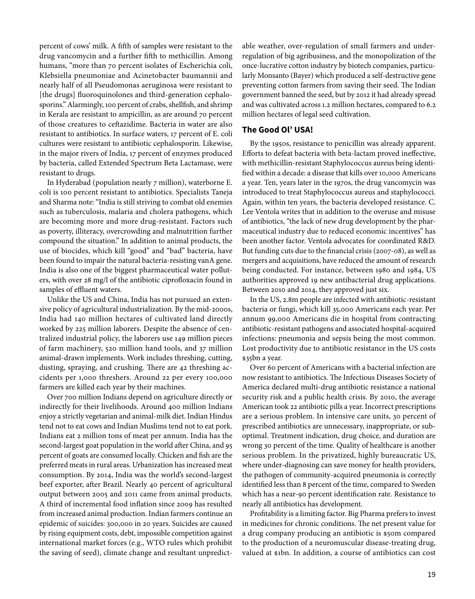percent of cows' milk. A fifth of samples were resistant to the drug vancomycin and a further fifth to methicillin. Among humans, "more than 70 percent isolates of Escherichia coli, Klebsiella pneumoniae and Acinetobacter baumannii and nearly half of all Pseudomonas aeruginosa were resistant to [the drugs] fluoroquinolones and third-generation cephalosporins." Alarmingly, 100 percent of crabs, shellfish, and shrimp in Kerala are resistant to ampicillin, as are around 70 percent of those creatures to ceftazidime. Bacteria in water are also resistant to antibiotics. In surface waters, 17 percent of E. coli cultures were resistant to antibiotic cephalosporin. Likewise, in the major rivers of India, 17 percent of enzymes produced by bacteria, called Extended Spectrum Beta Lactamase, were resistant to drugs.

In Hyderabad (population nearly 7 million), waterborne E. coli is 100 percent resistant to antibiotics. Specialists Taneja and Sharma note: "India is still striving to combat old enemies such as tuberculosis, malaria and cholera pathogens, which are becoming more and more drug-resistant. Factors such as poverty, illiteracy, overcrowding and malnutrition further compound the situation." In addition to animal products, the use of biocides, which kill "good" and "bad" bacteria, have been found to impair the natural bacteria-resisting vanA gene. India is also one of the biggest pharmaceutical water polluters, with over 28 mg/l of the antibiotic ciprofloxacin found in samples of effluent waters.

Unlike the US and China, India has not pursued an extensive policy of agricultural industrialization. By the mid-2000s, India had 140 million hectares of cultivated land directly worked by 225 million laborers. Despite the absence of centralized industrial policy, the laborers use 149 million pieces of farm machinery, 520 million hand tools, and 37 million animal-drawn implements. Work includes threshing, cutting, dusting, spraying, and crushing. There are 42 threshing accidents per 1,000 threshers. Around 22 per every 100,000 farmers are killed each year by their machines.

Over 700 million Indians depend on agriculture directly or indirectly for their livelihoods. Around 400 million Indians enjoy a strictly vegetarian and animal-milk diet. Indian Hindus tend not to eat cows and Indian Muslims tend not to eat pork. Indians eat 2 million tons of meat per annum. India has the second-largest goat population in the world after China, and 95 percent of goats are consumed locally. Chicken and fish are the preferred meats in rural areas. Urbanization has increased meat consumption. By 2014, India was the world's second-largest beef exporter, after Brazil. Nearly 40 percent of agricultural output between 2005 and 2011 came from animal products. A third of incremental food inflation since 2009 has resulted from increased animal production. Indian farmers continue an epidemic of suicides: 300,000 in 20 years. Suicides are caused by rising equipment costs, debt, impossible competition against international market forces (e.g., WTO rules which prohibit the saving of seed), climate change and resultant unpredictable weather, over-regulation of small farmers and underregulation of big agribusiness, and the monopolization of the once-lucrative cotton industry by biotech companies, particularly Monsanto (Bayer) which produced a self-destructive gene preventing cotton farmers from saving their seed. The Indian government banned the seed, but by 2012 it had already spread and was cultivated across 1.2 million hectares, compared to 6.2 million hectares of legal seed cultivation.

#### **The Good Ol' USA!**

By the 1950s, resistance to penicillin was already apparent. Efforts to defeat bacteria with beta-lactam proved ineffective, with methicillin-resistant Staphylococcus aureus being identified within a decade: a disease that kills over 10,000 Americans a year. Ten, years later in the 1970s, the drug vancomycin was introduced to treat Staphylococcus aureus and staphylococci. Again, within ten years, the bacteria developed resistance. C. Lee Ventola writes that in addition to the overuse and misuse of antibiotics, "the lack of new drug development by the pharmaceutical industry due to reduced economic incentives" has been another factor. Ventola advocates for coordinated R&D. But funding cuts due to the financial crisis (2007-08), as well as mergers and acquisitions, have reduced the amount of research being conducted. For instance, between 1980 and 1984, US authorities approved 19 new antibacterial drug applications. Between 2010 and 2014, they approved just six.

In the US, 2.8m people are infected with antibiotic-resistant bacteria or fungi, which kill 35,000 Americans each year. Per annum 99,000 Americans die in hospital from contracting antibiotic-resistant pathogens and associated hospital-acquired infections: pneumonia and sepsis being the most common. Lost productivity due to antibiotic resistance in the US costs \$35bn a year.

Over 60 percent of Americans with a bacterial infection are now resistant to antibiotics. The Infectious Diseases Society of America declared multi-drug antibiotic resistance a national security risk and a public health crisis. By 2010, the average American took 22 antibiotic pills a year. Incorrect prescriptions are a serious problem. In intensive care units, 30 percent of prescribed antibiotics are unnecessary, inappropriate, or suboptimal. Treatment indication, drug choice, and duration are wrong 30 percent of the time. Quality of healthcare is another serious problem. In the privatized, highly bureaucratic US, where under-diagnosing can save money for health providers, the pathogen of community-acquired pneumonia is correctly identified less than 8 percent of the time, compared to Sweden which has a near-90 percent identification rate. Resistance to nearly all antibiotics has development.

Profitability is a limiting factor. Big Pharma prefers to invest in medicines for chronic conditions. The net present value for a drug company producing an antibiotic is \$50m compared to the production of a neuromuscular disease-treating drug, valued at \$1bn. In addition, a course of antibiotics can cost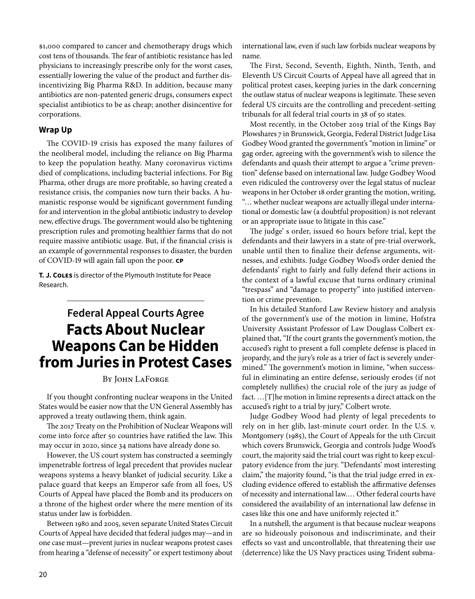\$1,000 compared to cancer and chemotherapy drugs which cost tens of thousands. The fear of antibiotic resistance has led physicians to increasingly prescribe only for the worst cases, essentially lowering the value of the product and further disincentivizing Big Pharma R&D. In addition, because many antibiotics are non-patented generic drugs, consumers expect specialist antibiotics to be as cheap; another disincentive for corporations.

#### **Wrap Up**

The COVID-19 crisis has exposed the many failures of the neoliberal model, including the reliance on Big Pharma to keep the population heathy. Many coronavirus victims died of complications, including bacterial infections. For Big Pharma, other drugs are more profitable, so having created a resistance crisis, the companies now turn their backs. A humanistic response would be significant government funding for and intervention in the global antibiotic industry to develop new, effective drugs. The government would also be tightening prescription rules and promoting healthier farms that do not require massive antibiotic usage. But, if the financial crisis is an example of governmental responses to disaster, the burden of COVID-19 will again fall upon the poor. **CP**

**T. J. Coles** is director of the Plymouth Institute for Peace Research.

## **Federal Appeal Courts Agree Facts About Nuclear Weapons Can be Hidden from Juries in Protest Cases**

#### By John LaForge

If you thought confronting nuclear weapons in the United States would be easier now that the UN General Assembly has approved a treaty outlawing them, think again.

The 2017 Treaty on the Prohibition of Nuclear Weapons will come into force after 50 countries have ratified the law. This may occur in 2020, since 34 nations have already done so.

However, the US court system has constructed a seemingly impenetrable fortress of legal precedent that provides nuclear weapons systems a heavy blanket of judicial security. Like a palace guard that keeps an Emperor safe from all foes, US Courts of Appeal have placed the Bomb and its producers on a throne of the highest order where the mere mention of its status under law is forbidden.

Between 1980 and 2005, seven separate United States Circuit Courts of Appeal have decided that federal judges may—and in one case must—prevent juries in nuclear weapons protest cases from hearing a "defense of necessity" or expert testimony about

international law, even if such law forbids nuclear weapons by name.

The First, Second, Seventh, Eighth, Ninth, Tenth, and Eleventh US Circuit Courts of Appeal have all agreed that in political protest cases, keeping juries in the dark concerning the outlaw status of nuclear weapons is legitimate. These seven federal US circuits are the controlling and precedent-setting tribunals for all federal trial courts in 38 of 50 states.

Most recently, in the October 2019 trial of the Kings Bay Plowshares 7 in Brunswick, Georgia, Federal District Judge Lisa Godbey Wood granted the government's "motion in limine" or gag order, agreeing with the government's wish to silence the defendants and quash their attempt to argue a "crime prevention" defense based on international law. Judge Godbey Wood even ridiculed the controversy over the legal status of nuclear weapons in her October 18 order granting the motion, writing, "… whether nuclear weapons are actually illegal under international or domestic law (a doubtful proposition) is not relevant or an appropriate issue to litigate in this case."

The judge' s order, issued 60 hours before trial, kept the defendants and their lawyers in a state of pre-trial overwork, unable until then to finalize their defense arguments, witnesses, and exhibits. Judge Godbey Wood's order denied the defendants' right to fairly and fully defend their actions in the context of a lawful excuse that turns ordinary criminal "trespass" and "damage to property" into justified intervention or crime prevention.

In his detailed Stanford Law Review history and analysis of the government's use of the motion in limine, Hofstra University Assistant Professor of Law Douglass Colbert explained that, "If the court grants the government's motion, the accused's right to present a full complete defense is placed in jeopardy, and the jury's role as a trier of fact is severely undermined." The government's motion in limine, "when successful in eliminating an entire defense, seriously erodes (if not completely nullifies) the crucial role of the jury as judge of fact. …[T]he motion in limine represents a direct attack on the accused's right to a trial by jury," Colbert wrote.

Judge Godbey Wood had plenty of legal precedents to rely on in her glib, last-minute court order. In the U.S. v. Montgomery (1985), the Court of Appeals for the 11th Circuit which covers Brunswick, Georgia and controls Judge Wood's court, the majority said the trial court was right to keep exculpatory evidence from the jury. "Defendants' most interesting claim," the majority found, "is that the trial judge erred in excluding evidence offered to establish the affirmative defenses of necessity and international law.… Other federal courts have considered the availability of an international law defense in cases like this one and have uniformly rejected it."

In a nutshell, the argument is that because nuclear weapons are so hideously poisonous and indiscriminate, and their effects so vast and uncontrollable, that threatening their use (deterrence) like the US Navy practices using Trident subma-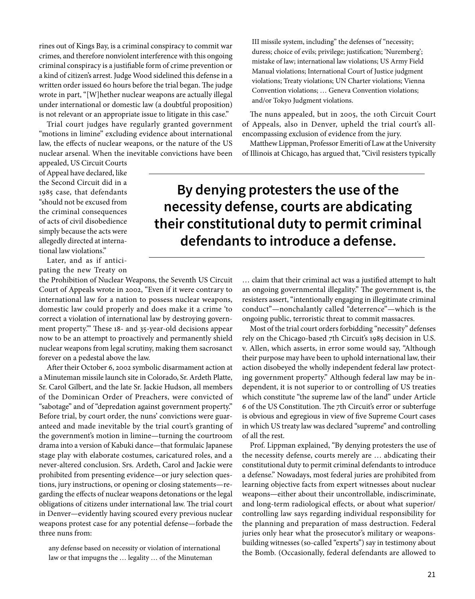rines out of Kings Bay, is a criminal conspiracy to commit war crimes, and therefore nonviolent interference with this ongoing criminal conspiracy is a justifiable form of crime prevention or a kind of citizen's arrest. Judge Wood sidelined this defense in a written order issued 60 hours before the trial began. The judge wrote in part, "[W]hether nuclear weapons are actually illegal under international or domestic law (a doubtful proposition) is not relevant or an appropriate issue to litigate in this case."

Trial court judges have regularly granted government "motions in limine" excluding evidence about international law, the effects of nuclear weapons, or the nature of the US nuclear arsenal. When the inevitable convictions have been III missile system, including" the defenses of "necessity; duress; choice of evils; privilege; justification; 'Nuremberg'; mistake of law; international law violations; US Army Field Manual violations; International Court of Justice judgment violations; Treaty violations; UN Charter violations; Vienna Convention violations; … Geneva Convention violations; and/or Tokyo Judgment violations.

The nuns appealed, but in 2005, the 10th Circuit Court of Appeals, also in Denver, upheld the trial court's allencompassing exclusion of evidence from the jury.

Matthew Lippman, Professor Emeriti of Law at the University of Illinois at Chicago, has argued that, "Civil resisters typically

appealed, US Circuit Courts of Appeal have declared, like the Second Circuit did in a 1985 case, that defendants "should not be excused from the criminal consequences of acts of civil disobedience simply because the acts were allegedly directed at international law violations."

Later, and as if anticipating the new Treaty on

the Prohibition of Nuclear Weapons, the Seventh US Circuit Court of Appeals wrote in 2002, "Even if it were contrary to international law for a nation to possess nuclear weapons, domestic law could properly and does make it a crime 'to correct a violation of international law by destroying government property.'" These 18- and 35-year-old decisions appear now to be an attempt to proactively and permanently shield nuclear weapons from legal scrutiny, making them sacrosanct forever on a pedestal above the law.

After their October 6, 2002 symbolic disarmament action at a Minuteman missile launch site in Colorado, Sr. Ardeth Platte, Sr. Carol Gilbert, and the late Sr. Jackie Hudson, all members of the Dominican Order of Preachers, were convicted of "sabotage" and of "depredation against government property." Before trial, by court order, the nuns' convictions were guaranteed and made inevitable by the trial court's granting of the government's motion in limine—turning the courtroom drama into a version of Kabuki dance—that formulaic Japanese stage play with elaborate costumes, caricatured roles, and a never-altered conclusion. Srs. Ardeth, Carol and Jackie were prohibited from presenting evidence—or jury selection questions, jury instructions, or opening or closing statements—regarding the effects of nuclear weapons detonations or the legal obligations of citizens under international law. The trial court in Denver—evidently having scoured every previous nuclear weapons protest case for any potential defense—forbade the three nuns from:

any defense based on necessity or violation of international law or that impugns the … legality … of the Minuteman

**By denying protesters the use of the necessity defense, courts are abdicating their constitutional duty to permit criminal defendants to introduce a defense.**

> … claim that their criminal act was a justified attempt to halt an ongoing governmental illegality." The government is, the resisters assert, "intentionally engaging in illegitimate criminal conduct"—nonchalantly called "deterrence"—which is the ongoing public, terroristic threat to commit massacres.

> Most of the trial court orders forbidding "necessity" defenses rely on the Chicago-based 7th Circuit's 1985 decision in U.S. v. Allen, which asserts, in error some would say, "Although their purpose may have been to uphold international law, their action disobeyed the wholly independent federal law protecting government property." Although federal law may be independent, it is not superior to or controlling of US treaties which constitute "the supreme law of the land" under Article 6 of the US Constitution. The 7th Circuit's error or subterfuge is obvious and egregious in view of five Supreme Court cases in which US treaty law was declared "supreme" and controlling of all the rest.

> Prof. Lippman explained, "By denying protesters the use of the necessity defense, courts merely are … abdicating their constitutional duty to permit criminal defendants to introduce a defense." Nowadays, most federal juries are prohibited from learning objective facts from expert witnesses about nuclear weapons—either about their uncontrollable, indiscriminate, and long-term radiological effects, or about what superior/ controlling law says regarding individual responsibility for the planning and preparation of mass destruction. Federal juries only hear what the prosecutor's military or weaponsbuilding witnesses (so-called "experts") say in testimony about the Bomb. (Occasionally, federal defendants are allowed to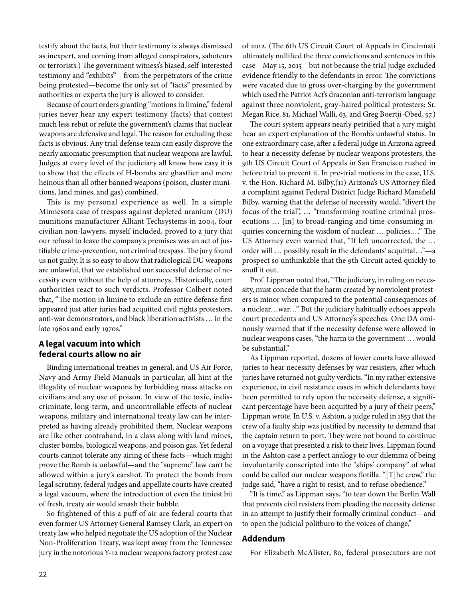testify about the facts, but their testimony is always dismissed as inexpert, and coming from alleged conspirators, saboteurs or terrorists.) The government witness's biased, self-interested testimony and "exhibits"—from the perpetrators of the crime being protested—become the only set of "facts" presented by authorities or experts the jury is allowed to consider.

Because of court orders granting "motions in limine," federal juries never hear any expert testimony (facts) that contest much less rebut or refute the government's claims that nuclear weapons are defensive and legal. The reason for excluding these facts is obvious. Any trial defense team can easily disprove the nearly axiomatic presumption that nuclear weapons are lawful. Judges at every level of the judiciary all know how easy it is to show that the effects of H-bombs are ghastlier and more heinous than all other banned weapons (poison, cluster munitions, land mines, and gas) combined.

This is my personal experience as well. In a simple Minnesota case of trespass against depleted uranium (DU) munitions manufacturer Alliant Techsystems in 2004, four civilian non-lawyers, myself included, proved to a jury that our refusal to leave the company's premises was an act of justifiable crime-prevention, not criminal trespass. The jury found us not guilty. It is so easy to show that radiological DU weapons are unlawful, that we established our successful defense of necessity even without the help of attorneys. Historically, court authorities react to such verdicts. Professor Colbert noted that, "The motion in limine to exclude an entire defense first appeared just after juries had acquitted civil rights protestors, anti-war demonstrators, and black liberation activists … in the late 1960s and early 1970s."

#### **A legal vacuum into which federal courts allow no air**

Binding international treaties in general, and US Air Force, Navy and Army Field Manuals in particular, all hint at the illegality of nuclear weapons by forbidding mass attacks on civilians and any use of poison. In view of the toxic, indiscriminate, long-term, and uncontrollable effects of nuclear weapons, military and international treaty law can be interpreted as having already prohibited them. Nuclear weapons are like other contraband, in a class along with land mines, cluster bombs, biological weapons, and poison gas. Yet federal courts cannot tolerate any airing of these facts—which might prove the Bomb is unlawful—and the "supreme" law can't be allowed within a jury's earshot. To protect the bomb from legal scrutiny, federal judges and appellate courts have created a legal vacuum, where the introduction of even the tiniest bit of fresh, treaty air would smash their bubble.

So frightened of this a puff of air are federal courts that even former US Attorney General Ramsey Clark, an expert on treaty law who helped negotiate the US adoption of the Nuclear Non-Proliferation Treaty, was kept away from the Tennessee jury in the notorious Y-12 nuclear weapons factory protest case

of 2012. (The 6th US Circuit Court of Appeals in Cincinnati ultimately nullified the three convictions and sentences in this case—May 15, 2015—but not because the trial judge excluded evidence friendly to the defendants in error. The convictions were vacated due to gross over-charging by the government which used the Patriot Act's draconian anti-terrorism language against three nonviolent, gray-haired political protesters: Sr. Megan Rice, 81, Michael Walli, 63, and Greg Boertji-Obed, 57.)

The court system appears nearly petrified that a jury might hear an expert explanation of the Bomb's unlawful status. In one extraordinary case, after a federal judge in Arizona agreed to hear a necessity defense by nuclear weapons protesters, the 9th US Circuit Court of Appeals in San Francisco rushed in before trial to prevent it. In pre-trial motions in the case, U.S. v. the Hon. Richard M. Bilby,(11) Arizona's US Attorney filed a complaint against Federal District Judge Richard Mansfield Bilby, warning that the defense of necessity would, "divert the focus of the trial", … "transforming routine criminal prosecutions … [in] to broad-ranging and time-consuming inquiries concerning the wisdom of nuclear … policies.…" The US Attorney even warned that, "If left uncorrected, the … order will … possibly result in the defendants' acquittal…"—a prospect so unthinkable that the 9th Circuit acted quickly to snuff it out.

Prof. Lippman noted that, "The judiciary, in ruling on necessity, must concede that the harm created by nonviolent protesters is minor when compared to the potential consequences of a nuclear…war…" But the judiciary habitually echoes appeals court precedents and US Attorney's speeches. One DA ominously warned that if the necessity defense were allowed in nuclear weapons cases, "the harm to the government … would be substantial."

As Lippman reported, dozens of lower courts have allowed juries to hear necessity defenses by war resisters, after which juries have returned not guilty verdicts. "In my rather extensive experience, in civil resistance cases in which defendants have been permitted to rely upon the necessity defense, a significant percentage have been acquitted by a jury of their peers," Lippman wrote. In U.S. v. Ashton, a judge ruled in 1853 that the crew of a faulty ship was justified by necessity to demand that the captain return to port. They were not bound to continue on a voyage that presented a risk to their lives. Lippman found in the Ashton case a perfect analogy to our dilemma of being involuntarily conscripted into the "ships' company" of what could be called our nuclear weapons flotilla. "[T]he crew," the judge said, "have a right to resist, and to refuse obedience."

"It is time," as Lippman says, "to tear down the Berlin Wall that prevents civil resisters from pleading the necessity defense in an attempt to justify their formally criminal conduct—and to open the judicial politburo to the voices of change."

#### **Addendum**

For Elizabeth McAlister, 80, federal prosecutors are not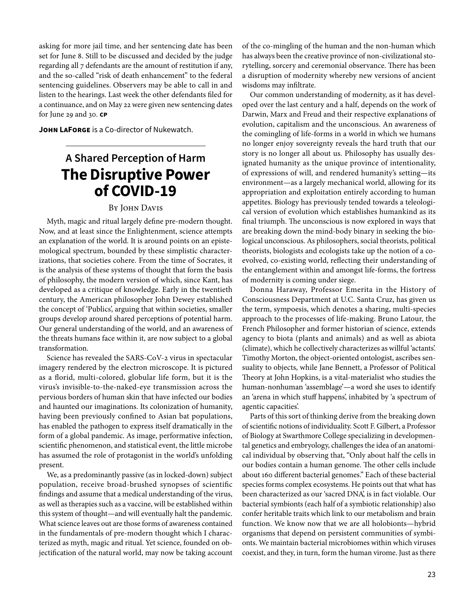asking for more jail time, and her sentencing date has been set for June 8. Still to be discussed and decided by the judge regarding all 7 defendants are the amount of restitution if any, and the so-called "risk of death enhancement" to the federal sentencing guidelines. Observers may be able to call in and listen to the hearings. Last week the other defendants filed for a continuance, and on May 22 were given new sentencing dates for June 29 and 30. **CP**

**John LaForge** is a Co-director of Nukewatch.

### **A Shared Perception of Harm The Disruptive Power of COVID-19**

#### By John Davis

Myth, magic and ritual largely define pre-modern thought. Now, and at least since the Enlightenment, science attempts an explanation of the world. It is around points on an epistemological spectrum, bounded by these simplistic characterizations, that societies cohere. From the time of Socrates, it is the analysis of these systems of thought that form the basis of philosophy, the modern version of which, since Kant, has developed as a critique of knowledge. Early in the twentieth century, the American philosopher John Dewey established the concept of 'Publics', arguing that within societies, smaller groups develop around shared perceptions of potential harm. Our general understanding of the world, and an awareness of the threats humans face within it, are now subject to a global transformation.

Science has revealed the SARS-CoV-2 virus in spectacular imagery rendered by the electron microscope. It is pictured as a florid, multi-colored, globular life form, but it is the virus's invisible-to-the-naked-eye transmission across the pervious borders of human skin that have infected our bodies and haunted our imaginations. Its colonization of humanity, having been previously confined to Asian bat populations, has enabled the pathogen to express itself dramatically in the form of a global pandemic. As image, performative infection, scientific phenomenon, and statistical event, the little microbe has assumed the role of protagonist in the world's unfolding present.

We, as a predominantly passive (as in locked-down) subject population, receive broad-brushed synopses of scientific findings and assume that a medical understanding of the virus, as well as therapies such as a vaccine, will be established within this system of thought—and will eventually halt the pandemic. What science leaves out are those forms of awareness contained in the fundamentals of pre-modern thought which I characterized as myth, magic and ritual. Yet science, founded on objectification of the natural world, may now be taking account of the co-mingling of the human and the non-human which has always been the creative province of non-civilizational storytelling, sorcery and ceremonial observance. There has been a disruption of modernity whereby new versions of ancient wisdoms may infiltrate.

Our common understanding of modernity, as it has developed over the last century and a half, depends on the work of Darwin, Marx and Freud and their respective explanations of evolution, capitalism and the unconscious. An awareness of the comingling of life-forms in a world in which we humans no longer enjoy sovereignty reveals the hard truth that our story is no longer all about us. Philosophy has usually designated humanity as the unique province of intentionality, of expressions of will, and rendered humanity's setting—its environment—as a largely mechanical world, allowing for its appropriation and exploitation entirely according to human appetites. Biology has previously tended towards a teleological version of evolution which establishes humankind as its final triumph. The unconscious is now explored in ways that are breaking down the mind-body binary in seeking the biological unconscious. As philosophers, social theorists, political theorists, biologists and ecologists take up the notion of a coevolved, co-existing world, reflecting their understanding of the entanglement within and amongst life-forms, the fortress of modernity is coming under siege.

Donna Haraway, Professor Emerita in the History of Consciousness Department at U.C. Santa Cruz, has given us the term, sympoesis, which denotes a sharing, multi-species approach to the processes of life-making. Bruno Latour, the French Philosopher and former historian of science, extends agency to biota (plants and animals) and as well as abiota (climate), which he collectively characterizes as willful 'actants'. Timothy Morton, the object-oriented ontologist, ascribes sensuality to objects, while Jane Bennett, a Professor of Political Theory at John Hopkins, is a vital-materialist who studies the human-nonhuman 'assemblage'—a word she uses to identify an 'arena in which stuff happens', inhabited by 'a spectrum of agentic capacities'.

Parts of this sort of thinking derive from the breaking down of scientific notions of individuality. Scott F. Gilbert, a Professor of Biology at Swarthmore College specializing in developmental genetics and embryology, challenges the idea of an anatomical individual by observing that, "Only about half the cells in our bodies contain a human genome. The other cells include about 160 different bacterial genomes." Each of these bacterial species forms complex ecosystems. He points out that what has been characterized as our 'sacred DNA', is in fact violable. Our bacterial symbionts (each half of a symbiotic relationship) also confer heritable traits which link to our metabolism and brain function. We know now that we are all holobionts—hybrid organisms that depend on persistent communities of symbionts. We maintain bacterial microbiomes within which viruses coexist, and they, in turn, form the human virome. Just as there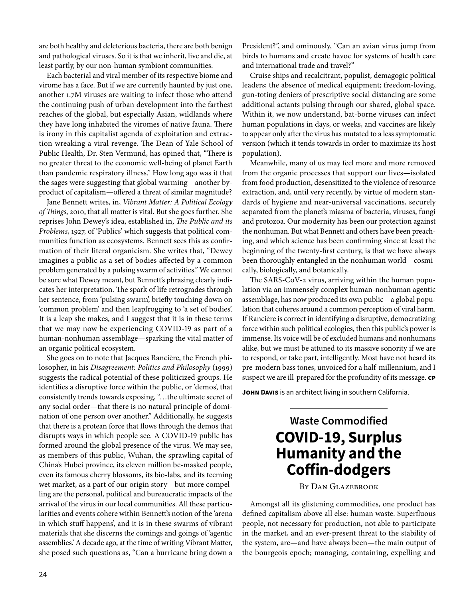are both healthy and deleterious bacteria, there are both benign and pathological viruses. So it is that we inherit, live and die, at least partly, by our non-human symbiont communities.

Each bacterial and viral member of its respective biome and virome has a face. But if we are currently haunted by just one, another 1.7M viruses are waiting to infect those who attend the continuing push of urban development into the farthest reaches of the global, but especially Asian, wildlands where they have long inhabited the viromes of native fauna. There is irony in this capitalist agenda of exploitation and extraction wreaking a viral revenge. The Dean of Yale School of Public Health, Dr. Sten Vermund, has opined that, "There is no greater threat to the economic well-being of planet Earth than pandemic respiratory illness." How long ago was it that the sages were suggesting that global warming—another byproduct of capitalism—offered a threat of similar magnitude?

Jane Bennett writes, in, *Vibrant Matter: A Political Ecology of Things*, 2010, that all matter is vital. But she goes further. She reprises John Dewey's idea, established in, *The Public and its Problems*, 1927, of 'Publics' which suggests that political communities function as ecosystems. Bennett sees this as confirmation of their literal organicism. She writes that, "Dewey imagines a public as a set of bodies affected by a common problem generated by a pulsing swarm of activities." We cannot be sure what Dewey meant, but Bennett's phrasing clearly indicates her interpretation. The spark of life retrogrades through her sentence, from 'pulsing swarm', briefly touching down on 'common problem' and then leapfrogging to 'a set of bodies'. It is a leap she makes, and I suggest that it is in these terms that we may now be experiencing COVID-19 as part of a human-nonhuman assemblage—sparking the vital matter of an organic political ecosystem.

She goes on to note that Jacques Rancière, the French philosopher, in his *Disagreement: Politics and Philosophy* (1999) suggests the radical potential of these politicized groups. He identifies a disruptive force within the public, or 'demos', that consistently trends towards exposing, "…the ultimate secret of any social order—that there is no natural principle of domination of one person over another." Additionally, he suggests that there is a protean force that flows through the demos that disrupts ways in which people see. A COVID-19 public has formed around the global presence of the virus. We may see, as members of this public, Wuhan, the sprawling capital of China's Hubei province, its eleven million be-masked people, even its famous cherry blossoms, its bio-labs, and its teeming wet market, as a part of our origin story—but more compelling are the personal, political and bureaucratic impacts of the arrival of the virus in our local communities. All these particularities and events cohere within Bennett's notion of the 'arena in which stuff happens', and it is in these swarms of vibrant materials that she discerns the comings and goings of 'agentic assemblies.' A decade ago, at the time of writing Vibrant Matter, she posed such questions as, "Can a hurricane bring down a

President?", and ominously, "Can an avian virus jump from birds to humans and create havoc for systems of health care and international trade and travel?"

Cruise ships and recalcitrant, populist, demagogic political leaders; the absence of medical equipment; freedom-loving, gun-toting deniers of prescriptive social distancing are some additional actants pulsing through our shared, global space. Within it, we now understand, bat-borne viruses can infect human populations in days, or weeks, and vaccines are likely to appear only after the virus has mutated to a less symptomatic version (which it tends towards in order to maximize its host population).

Meanwhile, many of us may feel more and more removed from the organic processes that support our lives—isolated from food production, desensitized to the violence of resource extraction, and, until very recently, by virtue of modern standards of hygiene and near-universal vaccinations, securely separated from the planet's miasma of bacteria, viruses, fungi and protozoa. Our modernity has been our protection against the nonhuman. But what Bennett and others have been preaching, and which science has been confirming since at least the beginning of the twenty-first century, is that we have always been thoroughly entangled in the nonhuman world—cosmically, biologically, and botanically.

The SARS-CoV-2 virus, arriving within the human population via an immensely complex human-nonhuman agentic assemblage, has now produced its own public—a global population that coheres around a common perception of viral harm. If Rancière is correct in identifying a disruptive, democratizing force within such political ecologies, then this public's power is immense. Its voice will be of excluded humans and nonhumans alike, but we must be attuned to its massive sonority if we are to respond, or take part, intelligently. Most have not heard its pre-modern bass tones, unvoiced for a half-millennium, and I suspect we are ill-prepared for the profundity of its message. **CP**

**John Davis** is an architect living in southern California.

## **Waste Commodified COVID-19, Surplus Humanity and the Coffin-dodgers**

#### By Dan Glazebrook

Amongst all its glistening commodities, one product has defined capitalism above all else: human waste. Superfluous people, not necessary for production, not able to participate in the market, and an ever-present threat to the stability of the system, are—and have always been—the main output of the bourgeois epoch; managing, containing, expelling and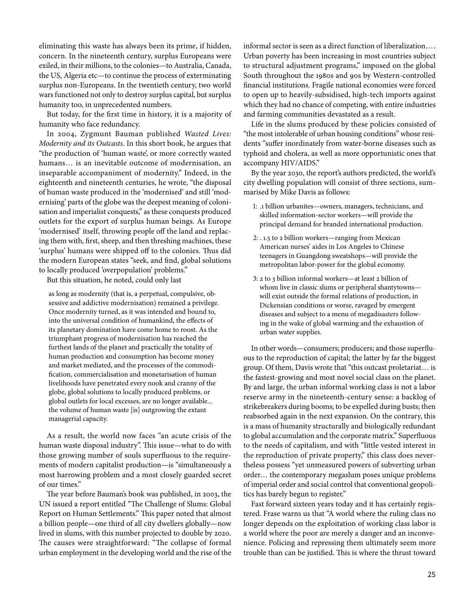eliminating this waste has always been its prime, if hidden, concern. In the nineteenth century, surplus Europeans were exiled, in their millions, to the colonies—to Australia, Canada, the US, Algeria etc—to continue the process of exterminating surplus non-Europeans. In the twentieth century, two world wars functioned not only to destroy surplus capital, but surplus humanity too, in unprecedented numbers.

But today, for the first time in history, it is a majority of humanity who face redundancy.

In 2004, Zygmunt Bauman published *Wasted Lives: Modernity and its Outcasts*. In this short book, he argues that "the production of 'human waste', or more correctly wasted humans… is an inevitable outcome of modernisation, an inseparable accompaniment of modernity." Indeed, in the eighteenth and nineteenth centuries, he wrote, "the disposal of human waste produced in the 'modernised' and still 'modernising' parts of the globe was the deepest meaning of colonisation and imperialist conquests," as these conquests produced outlets for the export of surplus human beings. As Europe 'modernised' itself, throwing people off the land and replacing them with, first, sheep, and then threshing machines, these 'surplus' humans were shipped off to the colonies. Thus did the modern European states "seek, and find, global solutions to locally produced 'overpopulation' problems."

But this situation, he noted, could only last

as long as modernity (that is, a perpetual, compulsive, obsessive and addictive modernisation) remained a privilege. Once modernity turned, as it was intended and bound to, into the universal condition of humankind, the effects of its planetary domination have come home to roost. As the triumphant progress of modernisation has reached the furthest lands of the planet and practically the totality of human production and consumption has become money and market mediated, and the processes of the commodification, commercialisation and monetarisation of human livelihoods have penetrated every nook and cranny of the globe, global solutions to locally produced problems, or global outlets for local excesses, are no longer available... the volume of human waste [is] outgrowing the extant managerial capacity.

As a result, the world now faces "an acute crisis of the human waste disposal industry". This issue—what to do with those growing number of souls superfluous to the requirements of modern capitalist production—is "simultaneously a most harrowing problem and a most closely guarded secret of our times."

The year before Bauman's book was published, in 2003, the UN issued a report entitled "The Challenge of Slums: Global Report on Human Settlements." This paper noted that almost a billion people—one third of all city dwellers globally—now lived in slums, with this number projected to double by 2020. The causes were straightforward: "The collapse of formal urban employment in the developing world and the rise of the informal sector is seen as a direct function of liberalization…. Urban poverty has been increasing in most countries subject to structural adjustment programs," imposed on the global South throughout the 1980s and 90s by Western-controlled financial institutions. Fragile national economies were forced to open up to heavily-subsidised, high-tech imports against which they had no chance of competing, with entire industries and farming communities devastated as a result.

Life in the slums produced by these policies consisted of "the most intolerable of urban housing conditions" whose residents "suffer inordinately from water-borne diseases such as typhoid and cholera, as well as more opportunistic ones that accompany HIV/AIDS."

By the year 2030, the report's authors predicted, the world's city dwelling population will consist of three sections, summarised by Mike Davis as follows:

- 1: .1 billion urbanites—owners, managers, technicians, and skilled information-sector workers—will provide the principal demand for branded international production.
- 2: . 1.5 to 2 billion workers—ranging from Mexican American nurses' aides in Los Angeles to Chinese teenagers in Guangdong sweatshops—will provide the metropolitan labor-power for the global economy.
- 3: 2 to 3 billion informal workers—at least 2 billion of whom live in classic slums or peripheral shantytowns will exist outside the formal relations of production, in Dickensian conditions or worse, ravaged by emergent diseases and subject to a menu of megadisasters following in the wake of global warming and the exhaustion of urban water supplies.

In other words—consumers; producers; and those superfluous to the reproduction of capital; the latter by far the biggest group. Of them, Davis wrote that "this outcast proletariat… is the fastest-growing and most novel social class on the planet. By and large, the urban informal working class is not a labor reserve army in the nineteenth-century sense: a backlog of strikebreakers during booms; to be expelled during busts; then reabsorbed again in the next expansion. On the contrary, this is a mass of humanity structurally and biologically redundant to global accumulation and the corporate matrix." Superfluous to the needs of capitalism, and with "little vested interest in the reproduction of private property," this class does nevertheless possess "yet unmeasured powers of subverting urban order… the contemporary megaslum poses unique problems of imperial order and social control that conventional geopolitics has barely begun to register."

Fast forward sixteen years today and it has certainly registered. Frase warns us that "A world where the ruling class no longer depends on the exploitation of working class labor is a world where the poor are merely a danger and an inconvenience. Policing and repressing them ultimately seem more trouble than can be justified. This is where the thrust toward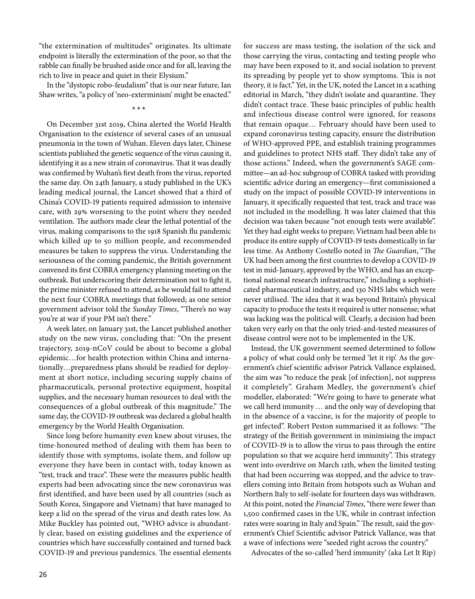"the extermination of multitudes" originates. Its ultimate endpoint is literally the extermination of the poor, so that the rabble can finally be brushed aside once and for all, leaving the rich to live in peace and quiet in their Elysium."

In the "dystopic robo-feudalism" that is our near future, Ian Shaw writes, "a policy of 'neo-exterminism' might be enacted."

\*\*\*

On December 31st 2019, China alerted the World Health Organisation to the existence of several cases of an unusual pneumonia in the town of Wuhan. Eleven days later, Chinese scientists published the genetic sequence of the virus causing it, identifying it as a new strain of coronavirus. That it was deadly was confirmed by Wuhan's first death from the virus, reported the same day. On 24th January, a study published in the UK's leading medical journal, the Lancet showed that a third of China's COVID-19 patients required admission to intensive care, with 29% worsening to the point where they needed ventilation. The authors made clear the lethal potential of the virus, making comparisons to the 1918 Spanish flu pandemic which killed up to 50 million people, and recommended measures be taken to suppress the virus. Understanding the seriousness of the coming pandemic, the British government convened its first COBRA emergency planning meeting on the outbreak. But underscoring their determination not to fight it, the prime minister refused to attend, as he would fail to attend the next four COBRA meetings that followed; as one senior government advisor told the *Sunday Times*, "There's no way you're at war if your PM isn't there."

A week later, on January 31st, the Lancet published another study on the new virus, concluding that: "On the present trajectory, 2019-nCoV could be about to become a global epidemic…for health protection within China and internationally…preparedness plans should be readied for deployment at short notice, including securing supply chains of pharmaceuticals, personal protective equipment, hospital supplies, and the necessary human resources to deal with the consequences of a global outbreak of this magnitude." The same day, the COVID-19 outbreak was declared a global health emergency by the World Health Organisation.

Since long before humanity even knew about viruses, the time-honoured method of dealing with them has been to identify those with symptoms, isolate them, and follow up everyone they have been in contact with, today known as "test, track and trace". These were the measures public health experts had been advocating since the new coronavirus was first identified, and have been used by all countries (such as South Korea, Singapore and Vietnam) that have managed to keep a lid on the spread of the virus and death rates low. As Mike Buckley has pointed out, "WHO advice is abundantly clear, based on existing guidelines and the experience of countries which have successfully contained and turned back COVID-19 and previous pandemics. The essential elements for success are mass testing, the isolation of the sick and those carrying the virus, contacting and testing people who may have been exposed to it, and social isolation to prevent its spreading by people yet to show symptoms. This is not theory, it is fact." Yet, in the UK, noted the Lancet in a scathing editorial in March, "they didn't isolate and quarantine. They didn't contact trace. These basic principles of public health and infectious disease control were ignored, for reasons that remain opaque… February should have been used to expand coronavirus testing capacity, ensure the distribution of WHO-approved PPE, and establish training programmes and guidelines to protect NHS staff. They didn't take any of those actions." Indeed, when the government's SAGE committee—an ad-hoc subgroup of COBRA tasked with providing scientific advice during an emergency—first commissioned a study on the impact of possible COVID-19 interventions in January, it specifically requested that test, track and trace was not included in the modelling. It was later claimed that this decision was taken because "not enough tests were available". Yet they had eight weeks to prepare; Vietnam had been able to produce its entire supply of COVID-19 tests domestically in far less time. As Anthony Costello noted in *The Guardian*, "The UK had been among the first countries to develop a COVID-19 test in mid-January, approved by the WHO, and has an exceptional national research infrastructure," including a sophisticated pharmaceutical industry, and 130 NHS labs which were never utilised. The idea that it was beyond Britain's physical capacity to produce the tests it required is utter nonsense; what was lacking was the political will. Clearly, a decision had been taken very early on that the only tried-and-tested measures of disease control were not to be implemented in the UK.

Instead, the UK government seemed determined to follow a policy of what could only be termed 'let it rip'. As the government's chief scientific advisor Patrick Vallance explained, the aim was "to reduce the peak [of infection], not suppress it completely". Graham Medley, the government's chief modeller, elaborated: "We're going to have to generate what we call herd immunity … and the only way of developing that in the absence of a vaccine, is for the majority of people to get infected". Robert Peston summarised it as follows: "The strategy of the British government in minimising the impact of COVID-19 is to allow the virus to pass through the entire population so that we acquire herd immunity". This strategy went into overdrive on March 12th, when the limited testing that had been occurring was stopped, and the advice to travellers coming into Britain from hotspots such as Wuhan and Northern Italy to self-isolate for fourteen days was withdrawn. At this point, noted the *Financial Times*, "there were fewer than 1,500 confirmed cases in the UK, while in contrast infection rates were soaring in Italy and Spain." The result, said the government's Chief Scientific advisor Patrick Vallance, was that a wave of infections were "seeded right across the country."

Advocates of the so-called 'herd immunity' (aka Let It Rip)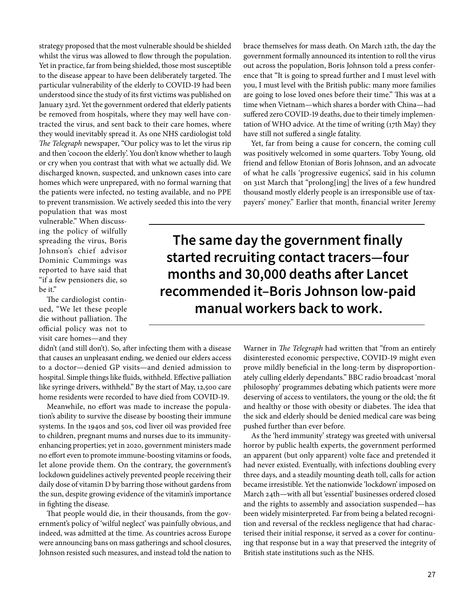strategy proposed that the most vulnerable should be shielded whilst the virus was allowed to flow through the population. Yet in practice, far from being shielded, those most susceptible to the disease appear to have been deliberately targeted. The particular vulnerability of the elderly to COVID-19 had been understood since the study of its first victims was published on January 23rd. Yet the government ordered that elderly patients be removed from hospitals, where they may well have contracted the virus, and sent back to their care homes, where they would inevitably spread it. As one NHS cardiologist told *The Telegraph* newspaper, "Our policy was to let the virus rip and then 'cocoon the elderly'. You don't know whether to laugh or cry when you contrast that with what we actually did. We discharged known, suspected, and unknown cases into care homes which were unprepared, with no formal warning that the patients were infected, no testing available, and no PPE to prevent transmission. We actively seeded this into the very

population that was most vulnerable." When discussing the policy of wilfully spreading the virus, Boris Johnson's chief advisor Dominic Cummings was reported to have said that "if a few pensioners die, so be it."

The cardiologist continued, "We let these people die without palliation. The official policy was not to visit care homes—and they

didn't (and still don't). So, after infecting them with a disease that causes an unpleasant ending, we denied our elders access to a doctor—denied GP visits—and denied admission to hospital. Simple things like fluids, withheld. Effective palliation like syringe drivers, withheld." By the start of May, 12,500 care home residents were recorded to have died from COVID-19.

Meanwhile, no effort was made to increase the population's ability to survive the disease by boosting their immune systems. In the 1940s and 50s, cod liver oil was provided free to children, pregnant mums and nurses due to its immunityenhancing properties; yet in 2020, government ministers made no effort even to promote immune-boosting vitamins or foods, let alone provide them. On the contrary, the government's lockdown guidelines actively prevented people receiving their daily dose of vitamin D by barring those without gardens from the sun, despite growing evidence of the vitamin's importance in fighting the disease.

That people would die, in their thousands, from the government's policy of 'wilful neglect' was painfully obvious, and indeed, was admitted at the time. As countries across Europe were announcing bans on mass gatherings and school closures, Johnson resisted such measures, and instead told the nation to brace themselves for mass death. On March 12th, the day the government formally announced its intention to roll the virus out across the population, Boris Johnson told a press conference that "It is going to spread further and I must level with you, I must level with the British public: many more families are going to lose loved ones before their time." This was at a time when Vietnam—which shares a border with China—had suffered zero COVID-19 deaths, due to their timely implementation of WHO advice. At the time of writing (17th May) they have still not suffered a single fatality.

Yet, far from being a cause for concern, the coming cull was positively welcomed in some quarters. Toby Young, old friend and fellow Etonian of Boris Johnson, and an advocate of what he calls 'progressive eugenics', said in his column on 31st March that "prolong[ing] the lives of a few hundred thousand mostly elderly people is an irresponsible use of taxpayers' money." Earlier that month, financial writer Jeremy

**The same day the government finally started recruiting contact tracers—four months and 30,000 deaths after Lancet recommended it–Boris Johnson low-paid manual workers back to work.**

> Warner in *The Telegraph* had written that "from an entirely disinterested economic perspective, COVID-19 might even prove mildly beneficial in the long-term by disproportionately culling elderly dependants." BBC radio broadcast 'moral philosophy' programmes debating which patients were more deserving of access to ventilators, the young or the old; the fit and healthy or those with obesity or diabetes. The idea that the sick and elderly should be denied medical care was being pushed further than ever before.

> As the 'herd immunity' strategy was greeted with universal horror by public health experts, the government performed an apparent (but only apparent) volte face and pretended it had never existed. Eventually, with infections doubling every three days, and a steadily mounting death toll, calls for action became irresistible. Yet the nationwide 'lockdown' imposed on March 24th—with all but 'essential' businesses ordered closed and the rights to assembly and association suspended—has been widely misinterpreted. Far from being a belated recognition and reversal of the reckless negligence that had characterised their initial response, it served as a cover for continuing that response but in a way that preserved the integrity of British state institutions such as the NHS.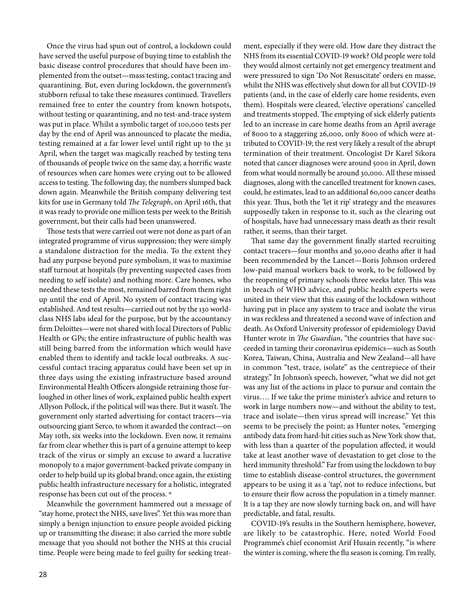Once the virus had spun out of control, a lockdown could have served the useful purpose of buying time to establish the basic disease control procedures that should have been implemented from the outset—mass testing, contact tracing and quarantining. But, even during lockdown, the government's stubborn refusal to take these measures continued. Travellers remained free to enter the country from known hotspots, without testing or quarantining, and no test-and-trace system was put in place. Whilst a symbolic target of 100,000 tests per day by the end of April was announced to placate the media, testing remained at a far lower level until right up to the 31 April, when the target was magically reached by testing tens of thousands of people twice on the same day, a horrific waste of resources when care homes were crying out to be allowed access to testing. The following day, the numbers slumped back down again. Meanwhile the British company delivering test kits for use in Germany told *The Telegraph*, on April 16th, that it was ready to provide one million tests per week to the British government, but their calls had been unanswered.

Those tests that were carried out were not done as part of an integrated programme of virus suppression; they were simply a standalone distraction for the media. To the extent they had any purpose beyond pure symbolism, it was to maximise staff turnout at hospitals (by preventing suspected cases from needing to self isolate) and nothing more. Care homes, who needed these tests the most, remained barred from them right up until the end of April. No system of contact tracing was established. And test results—carried out not by the 130 worldclass NHS labs ideal for the purpose, but by the accountancy firm Deloittes—were not shared with local Directors of Public Health or GPs; the entire infrastructure of public health was still being barred from the information which would have enabled them to identify and tackle local outbreaks. A successful contact tracing apparatus could have been set up in three days using the existing infrastructure based around Environmental Health Officers alongside retraining those furloughed in other lines of work, explained public health expert Allyson Pollock, if the political will was there. But it wasn't. The government only started advertising for contact tracers—via outsourcing giant Serco, to whom it awarded the contract—on May 10th, six weeks into the lockdown. Even now, it remains far from clear whether this is part of a genuine attempt to keep track of the virus or simply an excuse to award a lucrative monopoly to a major government-backed private company in order to help build up its global brand; once again, the existing public health infrastructure necessary for a holistic, integrated response has been cut out of the process. º

Meanwhile the government hammered out a message of "stay home, protect the NHS, save lives". Yet this was more than simply a benign injunction to ensure people avoided picking up or transmitting the disease; it also carried the more subtle message that you should not bother the NHS at this crucial time. People were being made to feel guilty for seeking treatment, especially if they were old. How dare they distract the NHS from its essential COVID-19 work? Old people were told they would almost certainly not get emergency treatment and were pressured to sign 'Do Not Resuscitate' orders en masse, whilst the NHS was effectively shut down for all but COVID-19 patients (and, in the case of elderly care home residents, even them). Hospitals were cleared, 'elective operations' cancelled and treatments stopped. The emptying of sick elderly patients led to an increase in care home deaths from an April average of 8000 to a staggering 26,000, only 8000 of which were attributed to COVID-19; the rest very likely a result of the abrupt termination of their treatment. Oncologist Dr Karel Sikora noted that cancer diagnoses were around 5000 in April, down from what would normally be around 30,000. All these missed diagnoses, along with the cancelled treatment for known cases, could, he estimates, lead to an additional 60,000 cancer deaths this year. Thus, both the 'let it rip' strategy and the measures supposedly taken in response to it, such as the clearing out of hospitals, have had unnecessary mass death as their result rather, it seems, than their target.

That same day the government finally started recruiting contact tracers—four months and 30,000 deaths after it had been recommended by the Lancet—Boris Johnson ordered low-paid manual workers back to work, to be followed by the reopening of primary schools three weeks later. This was in breach of WHO advice, and public health experts were united in their view that this easing of the lockdown without having put in place any system to trace and isolate the virus in was reckless and threatened a second wave of infection and death. As Oxford University professor of epidemiology David Hunter wrote in *The Guardian*, "the countries that have succeeded in taming their coronavirus epidemics—such as South Korea, Taiwan, China, Australia and New Zealand—all have in common "test, trace, isolate" as the centrepiece of their strategy." In Johnson's speech, however, "what we did not get was any list of the actions in place to pursue and contain the virus…. If we take the prime minister's advice and return to work in large numbers now—and without the ability to test, trace and isolate—then virus spread will increase." Yet this seems to be precisely the point; as Hunter notes, "emerging antibody data from hard-hit cities such as New York show that, with less than a quarter of the population affected, it would take at least another wave of devastation to get close to the herd immunity threshold." Far from using the lockdown to buy time to establish disease-control structures, the government appears to be using it as a 'tap', not to reduce infections, but to ensure their flow across the population in a timely manner. It is a tap they are now slowly turning back on, and will have predictable, and fatal, results.

COVID-19's results in the Southern hemisphere, however, are likely to be catastrophic. Here, noted World Food Programme's chief economist Arif Husain recently, "is where the winter is coming, where the flu season is coming. I'm really,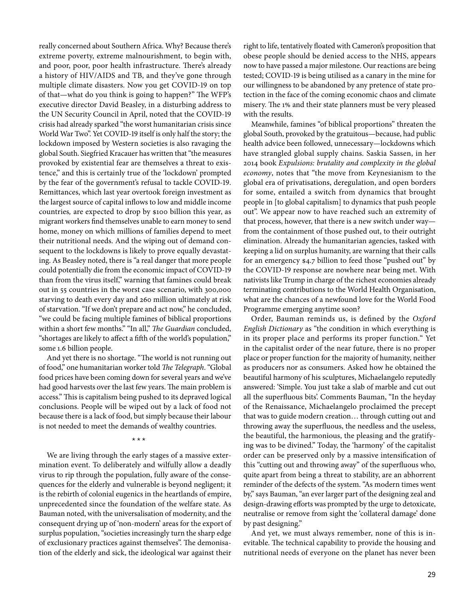really concerned about Southern Africa. Why? Because there's extreme poverty, extreme malnourishment, to begin with, and poor, poor, poor health infrastructure. There's already a history of HIV/AIDS and TB, and they've gone through multiple climate disasters. Now you get COVID-19 on top of that—what do you think is going to happen?" The WFP's executive director David Beasley, in a disturbing address to the UN Security Council in April, noted that the COVID-19 crisis had already sparked "the worst humanitarian crisis since World War Two". Yet COVID-19 itself is only half the story; the lockdown imposed by Western societies is also ravaging the global South. Siegfried Kracauer has written that "the measures provoked by existential fear are themselves a threat to existence," and this is certainly true of the 'lockdown' prompted by the fear of the government's refusal to tackle COVID-19. Remittances, which last year overtook foreign investment as the largest source of capital inflows to low and middle income countries*,* are expected to drop by \$100 billion this year, as migrant workers find themselves unable to earn money to send home, money on which millions of families depend to meet their nutritional needs. And the wiping out of demand consequent to the lockdowns is likely to prove equally devastating. As Beasley noted, there is "a real danger that more people could potentially die from the economic impact of COVID-19 than from the virus itself," warning that famines could break out in 55 countries in the worst case scenario, with 300,000 starving to death every day and 260 million ultimately at risk of starvation. "If we don't prepare and act now," he concluded, "we could be facing multiple famines of biblical proportions within a short few months." "In all," *The Guardian* concluded, "shortages are likely to affect a fifth of the world's population," some 1.6 billion people.

And yet there is no shortage. "The world is not running out of food," one humanitarian worker told *The Telegraph*. "Global food prices have been coming down for several years and we've had good harvests over the last few years. The main problem is access." This is capitalism being pushed to its depraved logical conclusions. People will be wiped out by a lack of food not because there is a lack of food, but simply because their labour is not needed to meet the demands of wealthy countries.

\*\*\*

We are living through the early stages of a massive extermination event. To deliberately and wilfully allow a deadly virus to rip through the population, fully aware of the consequences for the elderly and vulnerable is beyond negligent; it is the rebirth of colonial eugenics in the heartlands of empire, unprecedented since the foundation of the welfare state. As Bauman noted, with the universalisation of modernity, and the consequent drying up of 'non-modern' areas for the export of surplus population, "societies increasingly turn the sharp edge of exclusionary practices against themselves". The demonisation of the elderly and sick, the ideological war against their

right to life, tentatively floated with Cameron's proposition that obese people should be denied access to the NHS, appears now to have passed a major milestone. Our reactions are being tested; COVID-19 is being utilised as a canary in the mine for our willingness to be abandoned by any pretence of state protection in the face of the coming economic chaos and climate misery. The 1% and their state planners must be very pleased with the results.

Meanwhile, famines "of biblical proportions" threaten the global South, provoked by the gratuitous—because, had public health advice been followed, unnecessary—lockdowns which have strangled global supply chains. Saskia Sassen, in her 2014 book *Expulsions: brutality and complexity in the global economy*, notes that "the move from Keynesianism to the global era of privatisations, deregulation, and open borders for some, entailed a switch from dynamics that brought people in [to global capitalism] to dynamics that push people out". We appear now to have reached such an extremity of that process, however, that there is a new switch under way from the containment of those pushed out, to their outright elimination. Already the humanitarian agencies, tasked with keeping a lid on surplus humanity, are warning that their calls for an emergency \$4.7 billion to feed those "pushed out" by the COVID-19 response are nowhere near being met. With nativists like Trump in charge of the richest economies already terminating contributions to the World Health Organisation, what are the chances of a newfound love for the World Food Programme emerging anytime soon?

Order, Bauman reminds us, is defined by the *Oxford English Dictionary* as "the condition in which everything is in its proper place and performs its proper function." Yet in the capitalist order of the near future, there is no proper place or proper function for the majority of humanity, neither as producers nor as consumers. Asked how he obtained the beautiful harmony of his sculptures, Michaelangelo reputedly answered: 'Simple. You just take a slab of marble and cut out all the superfluous bits'. Comments Bauman, "In the heyday of the Renaissance, Michaelangelo proclaimed the precept that was to guide modern creation… through cutting out and throwing away the superfluous, the needless and the useless, the beautiful, the harmonious, the pleasing and the gratifying was to be divined." Today, the 'harmony' of the capitalist order can be preserved only by a massive intensification of this "cutting out and throwing away" of the superfluous who, quite apart from being a threat to stability, are an abhorrent reminder of the defects of the system. "As modern times went by," says Bauman, "an ever larger part of the designing zeal and design-drawing efforts was prompted by the urge to detoxicate, neutralise or remove from sight the 'collateral damage' done by past designing."

And yet, we must always remember, none of this is inevitable. The technical capability to provide the housing and nutritional needs of everyone on the planet has never been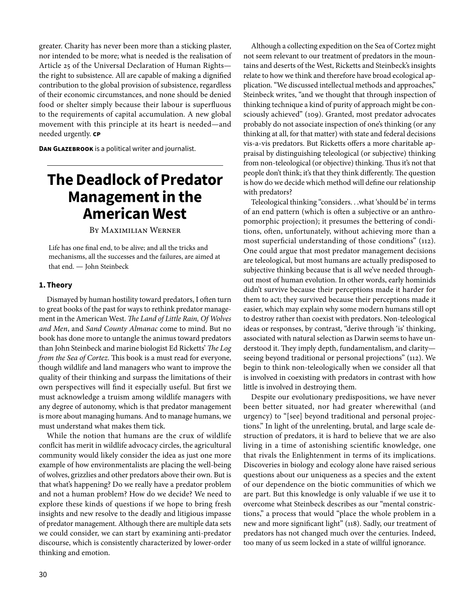greater. Charity has never been more than a sticking plaster, nor intended to be more; what is needed is the realisation of Article 25 of the Universal Declaration of Human Rights the right to subsistence. All are capable of making a dignified contribution to the global provision of subsistence, regardless of their economic circumstances, and none should be denied food or shelter simply because their labour is superfluous to the requirements of capital accumulation. A new global movement with this principle at its heart is needed—and needed urgently. **CP**

**Dan Glazebrook** is a political writer and journalist.

## **The Deadlock of Predator Management in the American West**

#### By Maximilian Werner

Life has one final end, to be alive; and all the tricks and mechanisms, all the successes and the failures, are aimed at that end. — John Steinbeck

#### **1. Theory**

Dismayed by human hostility toward predators, I often turn to great books of the past for ways to rethink predator management in the American West. *The Land of Little Rain, Of Wolves and Men*, and *Sand County Almanac* come to mind. But no book has done more to untangle the animus toward predators than John Steinbeck and marine biologist Ed Ricketts' *The Log from the Sea of Cortez*. This book is a must read for everyone, though wildlife and land managers who want to improve the quality of their thinking and surpass the limitations of their own perspectives will find it especially useful. But first we must acknowledge a truism among wildlife managers with any degree of autonomy, which is that predator management is more about managing humans. And to manage humans, we must understand what makes them tick.

While the notion that humans are the crux of wildlife conflcit has merit in wildlife advocacy circles, the agricultural community would likely consider the idea as just one more example of how environmentalists are placing the well-being of wolves, grizzlies and other predators above their own. But is that what's happening? Do we really have a predator problem and not a human problem? How do we decide? We need to explore these kinds of questions if we hope to bring fresh insights and new resolve to the deadly and litigious impasse of predator management. Although there are multiple data sets we could consider, we can start by examining anti-predator discourse, which is consistently characterized by lower-order thinking and emotion.

Although a collecting expedition on the Sea of Cortez might not seem relevant to our treatment of predators in the mountains and deserts of the West, Ricketts and Steinbeck's insights relate to how we think and therefore have broad ecological application. "We discussed intellectual methods and approaches," Steinbeck writes, "and we thought that through inspection of thinking technique a kind of purity of approach might be consciously achieved" (109). Granted, most predator advocates probably do not associate inspection of one's thinking (or any thinking at all, for that matter) with state and federal decisions vis-a-vis predators. But Ricketts offers a more charitable appraisal by distinguishing teleological (or subjective) thinking from non-teleological (or objective) thinking. Thus it's not that people don't think; it's that they think differently. The question is how do we decide which method will define our relationship with predators?

Teleological thinking "considers. . .what 'should be' in terms of an end pattern (which is often a subjective or an anthropomorphic projection); it presumes the bettering of conditions, often, unfortunately, without achieving more than a most superficial understanding of those conditions" (112). One could argue that most predator management decisions are teleological, but most humans are actually predisposed to subjective thinking because that is all we've needed throughout most of human evolution. In other words, early hominids didn't survive because their perceptions made it harder for them to act; they survived because their perceptions made it easier, which may explain why some modern humans still opt to destroy rather than coexist with predators. Non-teleological ideas or responses, by contrast, "derive through 'is' thinking, associated with natural selection as Darwin seems to have understood it. They imply depth, fundamentalism, and clarity seeing beyond traditional or personal projections" (112). We begin to think non-teleologically when we consider all that is involved in coexisting with predators in contrast with how little is involved in destroying them.

Despite our evolutionary predispositions, we have never been better situated, nor had greater wherewithal (and urgency) to "[see] beyond traditional and personal projections." In light of the unrelenting, brutal, and large scale destruction of predators, it is hard to believe that we are also living in a time of astonishing scientific knowledge, one that rivals the Enlightenment in terms of its implications. Discoveries in biology and ecology alone have raised serious questions about our uniqueness as a species and the extent of our dependence on the biotic communities of which we are part. But this knowledge is only valuable if we use it to overcome what Steinbeck describes as our "mental constrictions," a process that would "place the whole problem in a new and more significant light" (118). Sadly, our treatment of predators has not changed much over the centuries. Indeed, too many of us seem locked in a state of willful ignorance.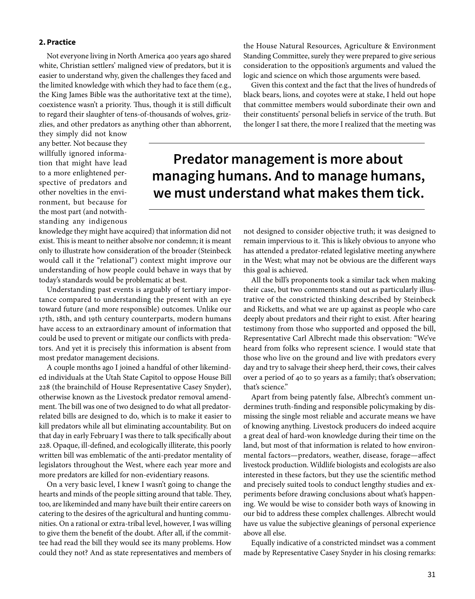#### **2. Practice**

Not everyone living in North America 400 years ago shared white, Christian settlers' maligned view of predators, but it is easier to understand why, given the challenges they faced and the limited knowledge with which they had to face them (e.g., the King James Bible was the authoritative text at the time), coexistence wasn't a priority. Thus, though it is still difficult to regard their slaughter of tens-of-thousands of wolves, grizzlies, and other predators as anything other than abhorrent,

they simply did not know any better. Not because they willfully ignored information that might have lead to a more enlightened perspective of predators and other novelties in the environment, but because for the most part (and notwithstanding any indigenous the House Natural Resources, Agriculture & Environment Standing Committee, surely they were prepared to give serious consideration to the opposition's arguments and valued the logic and science on which those arguments were based.

Given this context and the fact that the lives of hundreds of black bears, lions, and coyotes were at stake, I held out hope that committee members would subordinate their own and their constituents' personal beliefs in service of the truth. But the longer I sat there, the more I realized that the meeting was

## **Predator management is more about managing humans. And to manage humans, we must understand what makes them tick.**

knowledge they might have acquired) that information did not exist. This is meant to neither absolve nor condemn; it is meant only to illustrate how consideration of the broader (Steinbeck would call it the "relational") context might improve our understanding of how people could behave in ways that by today's standards would be problematic at best.

Understanding past events is arguably of tertiary importance compared to understanding the present with an eye toward future (and more responsible) outcomes. Unlike our 17th, 18th, and 19th century counterparts, modern humans have access to an extraordinary amount of information that could be used to prevent or mitigate our conflicts with predators. And yet it is precisely this information is absent from most predator management decisions.

A couple months ago I joined a handful of other likeminded individuals at the Utah State Capitol to oppose House Bill 228 (the brainchild of House Representative Casey Snyder), otherwise known as the Livestock predator removal amendment. The bill was one of two designed to do what all predatorrelated bills are designed to do, which is to make it easier to kill predators while all but eliminating accountability. But on that day in early February I was there to talk specifically about 228. Opaque, ill-defined, and ecologically illiterate, this poorly written bill was emblematic of the anti-predator mentality of legislators throughout the West, where each year more and more predators are killed for non-evidentiary reasons.

On a very basic level, I knew I wasn't going to change the hearts and minds of the people sitting around that table. They, too, are likeminded and many have built their entire careers on catering to the desires of the agricultural and hunting communities. On a rational or extra-tribal level, however, I was willing to give them the benefit of the doubt. After all, if the committee had read the bill they would see its many problems. How could they not? And as state representatives and members of not designed to consider objective truth; it was designed to remain impervious to it. This is likely obvious to anyone who has attended a predator-related legislative meeting anywhere in the West; what may not be obvious are the different ways this goal is achieved.

All the bill's proponents took a similar tack when making their case, but two comments stand out as particularly illustrative of the constricted thinking described by Steinbeck and Ricketts, and what we are up against as people who care deeply about predators and their right to exist. After hearing testimony from those who supported and opposed the bill, Representative Carl Albrecht made this observation: "We've heard from folks who represent science. I would state that those who live on the ground and live with predators every day and try to salvage their sheep herd, their cows, their calves over a period of 40 to 50 years as a family; that's observation; that's science."

Apart from being patently false, Albrecht's comment undermines truth-finding and responsible policymaking by dismissing the single most reliable and accurate means we have of knowing anything. Livestock producers do indeed acquire a great deal of hard-won knowledge during their time on the land, but most of that information is related to how environmental factors—predators, weather, disease, forage—affect livestock production. Wildlife biologists and ecologists are also interested in these factors, but they use the scientific method and precisely suited tools to conduct lengthy studies and experiments before drawing conclusions about what's happening. We would be wise to consider both ways of knowing in our bid to address these complex challenges. Albrecht would have us value the subjective gleanings of personal experience above all else.

Equally indicative of a constricted mindset was a comment made by Representative Casey Snyder in his closing remarks: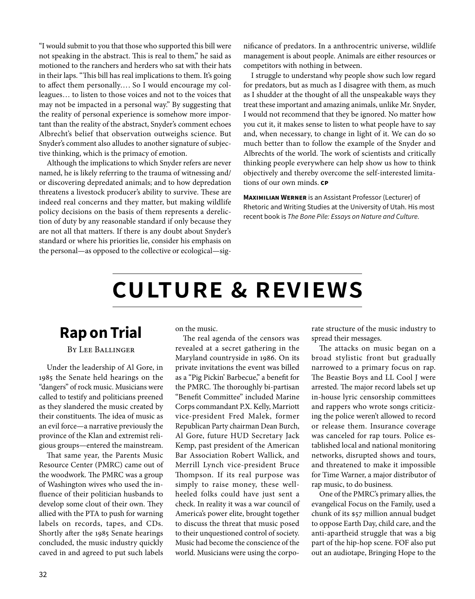"I would submit to you that those who supported this bill were not speaking in the abstract. This is real to them," he said as motioned to the ranchers and herders who sat with their hats in their laps. "This bill has real implications to them. It's going to affect them personally…. So I would encourage my colleagues… to listen to those voices and not to the voices that may not be impacted in a personal way." By suggesting that the reality of personal experience is somehow more important than the reality of the abstract, Snyder's comment echoes Albrecht's belief that observation outweighs science. But Snyder's comment also alludes to another signature of subjective thinking, which is the primacy of emotion.

Although the implications to which Snyder refers are never named, he is likely referring to the trauma of witnessing and/ or discovering depredated animals; and to how depredation threatens a livestock producer's ability to survive. These are indeed real concerns and they matter, but making wildlife policy decisions on the basis of them represents a dereliction of duty by any reasonable standard if only because they are not all that matters. If there is any doubt about Snyder's standard or where his priorities lie, consider his emphasis on the personal—as opposed to the collective or ecological—significance of predators. In a anthrocentric universe, wildlife management is about people. Animals are either resources or competitors with nothing in between.

I struggle to understand why people show such low regard for predators, but as much as I disagree with them, as much as I shudder at the thought of all the unspeakable ways they treat these important and amazing animals, unlike Mr. Snyder, I would not recommend that they be ignored. No matter how you cut it, it makes sense to listen to what people have to say and, when necessary, to change in light of it. We can do so much better than to follow the example of the Snyder and Albrechts of the world. The work of scientists and critically thinking people everywhere can help show us how to think objectively and thereby overcome the self-interested limitations of our own minds. **CP**

**Maximilian Werner** is an Assistant Professor (Lecturer) of Rhetoric and Writing Studies at the University of Utah. His most recent book is *The Bone Pile: Essays on Nature and Culture.*

## **culture & reviews**

## **Rap on Trial**

By Lee Ballinger

Under the leadership of Al Gore, in 1985 the Senate held hearings on the "dangers" of rock music. Musicians were called to testify and politicians preened as they slandered the music created by their constituents. The idea of music as an evil force—a narrative previously the province of the Klan and extremist religious groups—entered the mainstream.

That same year, the Parents Music Resource Center (PMRC) came out of the woodwork. The PMRC was a group of Washington wives who used the influence of their politician husbands to develop some clout of their own. They allied with the PTA to push for warning labels on records, tapes, and CDs. Shortly after the 1985 Senate hearings concluded, the music industry quickly caved in and agreed to put such labels on the music.

The real agenda of the censors was revealed at a secret gathering in the Maryland countryside in 1986. On its private invitations the event was billed as a "Pig Pickin' Barbecue," a benefit for the PMRC. The thoroughly bi-partisan "Benefit Committee" included Marine Corps commandant P.X. Kelly, Marriott vice-president Fred Malek, former Republican Party chairman Dean Burch, Al Gore, future HUD Secretary Jack Kemp, past president of the American Bar Association Robert Wallick, and Merrill Lynch vice-president Bruce Thompson. If its real purpose was simply to raise money, these wellheeled folks could have just sent a check. In reality it was a war council of America's power elite, brought together to discuss the threat that music posed to their unquestioned control of society. Music had become the conscience of the world. Musicians were using the corpo-

rate structure of the music industry to spread their messages.

The attacks on music began on a broad stylistic front but gradually narrowed to a primary focus on rap. The Beastie Boys and LL Cool J were arrested. The major record labels set up in-house lyric censorship committees and rappers who wrote songs criticizing the police weren't allowed to record or release them. Insurance coverage was canceled for rap tours. Police established local and national monitoring networks, disrupted shows and tours, and threatened to make it impossible for Time Warner, a major distributor of rap music, to do business.

One of the PMRC's primary allies, the evangelical Focus on the Family, used a chunk of its \$57 million annual budget to oppose Earth Day, child care, and the anti-apartheid struggle that was a big part of the hip-hop scene. FOF also put out an audiotape, Bringing Hope to the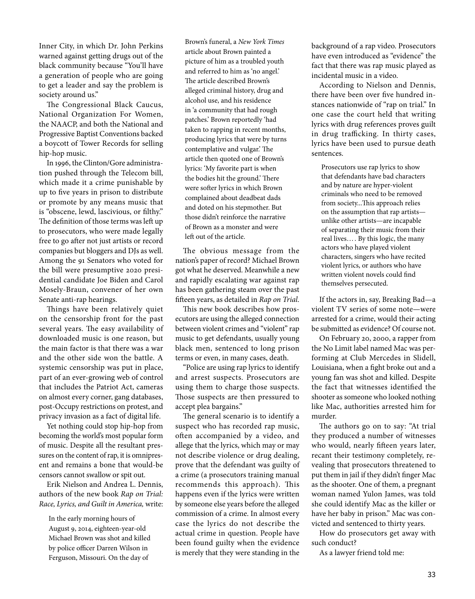Inner City, in which Dr. John Perkins warned against getting drugs out of the black community because "You'll have a generation of people who are going to get a leader and say the problem is society around us."

The Congressional Black Caucus, National Organization For Women, the NAACP, and both the National and Progressive Baptist Conventions backed a boycott of Tower Records for selling hip-hop music.

In 1996, the Clinton/Gore administration pushed through the Telecom bill, which made it a crime punishable by up to five years in prison to distribute or promote by any means music that is "obscene, lewd, lascivious, or filthy." The definition of those terms was left up to prosecutors, who were made legally free to go after not just artists or record companies but bloggers and DJs as well. Among the 91 Senators who voted for the bill were presumptive 2020 presidential candidate Joe Biden and Carol Mosely-Braun, convener of her own Senate anti-rap hearings.

Things have been relatively quiet on the censorship front for the past several years. The easy availability of downloaded music is one reason, but the main factor is that there was a war and the other side won the battle. A systemic censorship was put in place, part of an ever-growing web of control that includes the Patriot Act, cameras on almost every corner, gang databases, post-Occupy restrictions on protest, and privacy invasion as a fact of digital life.

Yet nothing could stop hip-hop from becoming the world's most popular form of music. Despite all the resultant pressures on the content of rap, it is omnipresent and remains a bone that would-be censors cannot swallow or spit out.

Erik Nielson and Andrea L. Dennis, authors of the new book *Rap on Trial: Race, Lyrics, and Guilt in America,* write:

In the early morning hours of August 9, 2014, eighteen-year-old Michael Brown was shot and killed by police officer Darren Wilson in Ferguson, Missouri. On the day of

Brown's funeral, a *New York Times*  article about Brown painted a picture of him as a troubled youth and referred to him as 'no angel.' The article described Brown's alleged criminal history, drug and alcohol use, and his residence in 'a community that had rough patches.' Brown reportedly 'had taken to rapping in recent months, producing lyrics that were by turns contemplative and vulgar.' The article then quoted one of Brown's lyrics: 'My favorite part is when the bodies hit the ground.' There were softer lyrics in which Brown complained about deadbeat dads and doted on his stepmother. But those didn't reinforce the narrative of Brown as a monster and were left out of the article.

The obvious message from the nation's paper of record? Michael Brown got what he deserved. Meanwhile a new and rapidly escalating war against rap has been gathering steam over the past fifteen years, as detailed in *Rap on Trial*.

This new book describes how prosecutors are using the alleged connection between violent crimes and "violent" rap music to get defendants, usually young black men, sentenced to long prison terms or even, in many cases, death.

"Police are using rap lyrics to identify and arrest suspects. Prosecutors are using them to charge those suspects. Those suspects are then pressured to accept plea bargains."

The general scenario is to identify a suspect who has recorded rap music, often accompanied by a video, and allege that the lyrics, which may or may not describe violence or drug dealing, prove that the defendant was guilty of a crime (a prosecutors training manual recommends this approach). This happens even if the lyrics were written by someone else years before the alleged commission of a crime. In almost every case the lyrics do not describe the actual crime in question. People have been found guilty when the evidence is merely that they were standing in the

background of a rap video. Prosecutors have even introduced as "evidence" the fact that there was rap music played as incidental music in a video.

According to Nielson and Dennis, there have been over five hundred instances nationwide of "rap on trial." In one case the court held that writing lyrics with drug references proves guilt in drug trafficking. In thirty cases, lyrics have been used to pursue death sentences.

Prosecutors use rap lyrics to show that defendants have bad characters and by nature are hyper-violent criminals who need to be removed from society...This approach relies on the assumption that rap artists unlike other artists—are incapable of separating their music from their real lives…. By this logic, the many actors who have played violent characters, singers who have recited violent lyrics, or authors who have written violent novels could find themselves persecuted.

If the actors in, say, Breaking Bad—a violent TV series of some note—were arrested for a crime, would their acting be submitted as evidence? Of course not.

On February 20, 2000, a rapper from the No Limit label named Mac was performing at Club Mercedes in Slidell, Louisiana, when a fight broke out and a young fan was shot and killed. Despite the fact that witnesses identified the shooter as someone who looked nothing like Mac, authorities arrested him for murder.

The authors go on to say: "At trial they produced a number of witnesses who would, nearly fifteen years later, recant their testimony completely, revealing that prosecutors threatened to put them in jail if they didn't finger Mac as the shooter. One of them, a pregnant woman named Yulon James, was told she could identify Mac as the killer or have her baby in prison." Mac was convicted and sentenced to thirty years.

How do prosecutors get away with such conduct?

As a lawyer friend told me: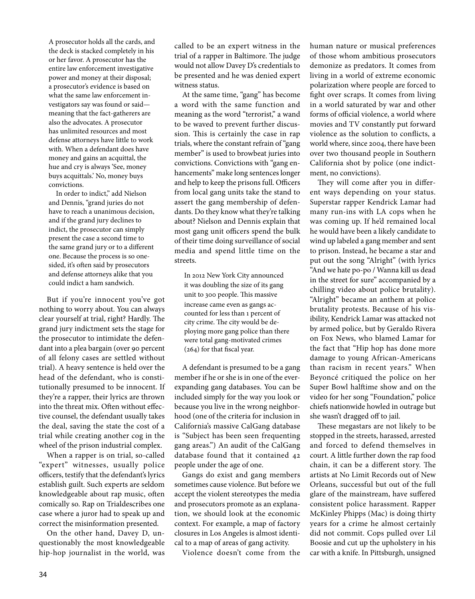A prosecutor holds all the cards, and the deck is stacked completely in his or her favor. A prosecutor has the entire law enforcement investigative power and money at their disposal; a prosecutor's evidence is based on what the same law enforcement investigators say was found or said meaning that the fact-gatherers are also the advocates. A prosecutor has unlimited resources and most defense attorneys have little to work with. When a defendant does have money and gains an acquittal, the hue and cry is always 'See, money buys acquittals.' No, money buys convictions.

In order to indict," add Nielson and Dennis, "grand juries do not have to reach a unanimous decision, and if the grand jury declines to indict, the prosecutor can simply present the case a second time to the same grand jury or to a different one. Because the process is so onesided, it's often said by prosecutors and defense attorneys alike that you could indict a ham sandwich.

But if you're innocent you've got nothing to worry about. You can always clear yourself at trial, right? Hardly. The grand jury indictment sets the stage for the prosecutor to intimidate the defendant into a plea bargain (over 90 percent of all felony cases are settled without trial). A heavy sentence is held over the head of the defendant, who is constitutionally presumed to be innocent. If they're a rapper, their lyrics are thrown into the threat mix. Often without effective counsel, the defendant usually takes the deal, saving the state the cost of a trial while creating another cog in the wheel of the prison industrial complex.

When a rapper is on trial, so-called "expert" witnesses, usually police officers, testify that the defendant's lyrics establish guilt. Such experts are seldom knowledgeable about rap music, often comically so. Rap on Trialdescribes one case where a juror had to speak up and correct the misinformation presented.

On the other hand, Davey D, unquestionably the most knowledgeable hip-hop journalist in the world, was called to be an expert witness in the trial of a rapper in Baltimore. The judge would not allow Davey D's credentials to be presented and he was denied expert witness status.

At the same time, "gang" has become a word with the same function and meaning as the word "terrorist," a wand to be waved to prevent further discussion. This is certainly the case in rap trials, where the constant refrain of "gang member" is used to browbeat juries into convictions. Convictions with "gang enhancements" make long sentences longer and help to keep the prisons full. Officers from local gang units take the stand to assert the gang membership of defendants. Do they know what they're talking about? Nielson and Dennis explain that most gang unit officers spend the bulk of their time doing surveillance of social media and spend little time on the streets.

In 2012 New York City announced it was doubling the size of its gang unit to 300 people. This massive increase came even as gangs accounted for less than 1 percent of city crime. The city would be deploying more gang police than there were total gang-motivated crimes (264) for that fiscal year.

A defendant is presumed to be a gang member if he or she is in one of the everexpanding gang databases. You can be included simply for the way you look or because you live in the wrong neighborhood (one of the criteria for inclusion in California's massive CalGang database is "Subject has been seen frequenting gang areas.") An audit of the CalGang database found that it contained 42 people under the age of one.

Gangs do exist and gang members sometimes cause violence. But before we accept the violent stereotypes the media and prosecutors promote as an explanation, we should look at the economic context. For example, a map of factory closures in Los Angeles is almost identical to a map of areas of gang activity.

Violence doesn't come from the

human nature or musical preferences of those whom ambitious prosecutors demonize as predators. It comes from living in a world of extreme economic polarization where people are forced to fight over scraps. It comes from living in a world saturated by war and other forms of official violence, a world where movies and TV constantly put forward violence as the solution to conflicts, a world where, since 2004, there have been over two thousand people in Southern California shot by police (one indictment, no convictions).

They will come after you in different ways depending on your status. Superstar rapper Kendrick Lamar had many run-ins with LA cops when he was coming up. If he'd remained local he would have been a likely candidate to wind up labeled a gang member and sent to prison. Instead, he became a star and put out the song "Alright" (with lyrics "And we hate po-po / Wanna kill us dead in the street for sure" accompanied by a chilling video about police brutality). "Alright" became an anthem at police brutality protests. Because of his visibility, Kendrick Lamar was attacked not by armed police, but by Geraldo Rivera on Fox News, who blamed Lamar for the fact that "Hip hop has done more damage to young African-Americans than racism in recent years." When Beyoncé critiqued the police on her Super Bowl halftime show and on the video for her song "Foundation," police chiefs nationwide howled in outrage but she wasn't dragged off to jail.

These megastars are not likely to be stopped in the streets, harassed, arrested and forced to defend themselves in court. A little further down the rap food chain, it can be a different story. The artists at No Limit Records out of New Orleans, successful but out of the full glare of the mainstream, have suffered consistent police harassment. Rapper McKinley Phipps (Mac) is doing thirty years for a crime he almost certainly did not commit. Cops pulled over Lil Boosie and cut up the upholstery in his car with a knife. In Pittsburgh, unsigned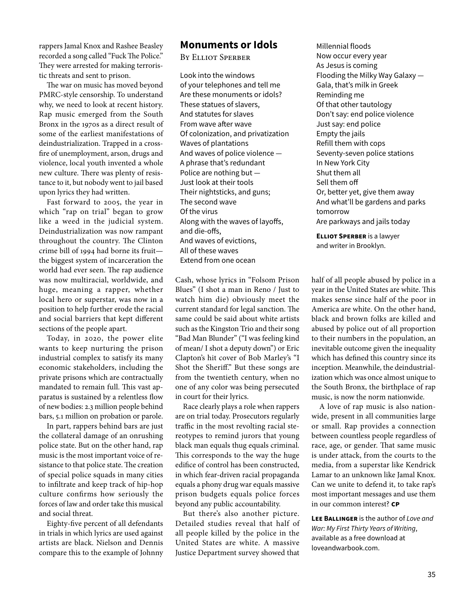rappers Jamal Knox and Rashee Beasley recorded a song called "Fuck The Police." They were arrested for making terroristic threats and sent to prison.

The war on music has moved beyond PMRC-style censorship. To understand why, we need to look at recent history. Rap music emerged from the South Bronx in the 1970s as a direct result of some of the earliest manifestations of deindustrialization. Trapped in a crossfire of unemployment, arson, drugs and violence, local youth invented a whole new culture. There was plenty of resistance to it, but nobody went to jail based upon lyrics they had written.

Fast forward to 2005, the year in which "rap on trial" began to grow like a weed in the judicial system. Deindustrialization was now rampant throughout the country. The Clinton crime bill of 1994 had borne its fruit the biggest system of incarceration the world had ever seen. The rap audience was now multiracial, worldwide, and huge, meaning a rapper, whether local hero or superstar, was now in a position to help further erode the racial and social barriers that kept different sections of the people apart.

Today, in 2020, the power elite wants to keep nurturing the prison industrial complex to satisfy its many economic stakeholders, including the private prisons which are contractually mandated to remain full. This vast apparatus is sustained by a relentless flow of new bodies: 2.3 million people behind bars, 5.1 million on probation or parole.

In part, rappers behind bars are just the collateral damage of an onrushing police state. But on the other hand, rap music is the most important voice of resistance to that police state. The creation of special police squads in many cities to infiltrate and keep track of hip-hop culture confirms how seriously the forces of law and order take this musical and social threat.

Eighty-five percent of all defendants in trials in which lyrics are used against artists are black. Nielson and Dennis compare this to the example of Johnny

#### **Monuments or Idols**

By Elliot Sperber

Look into the windows of your telephones and tell me Are these monuments or idols? These statues of slavers, And statutes for slaves From wave after wave Of colonization, and privatization Waves of plantations And waves of police violence — A phrase that's redundant Police are nothing but — Just look at their tools Their nightsticks, and guns; The second wave Of the virus Along with the waves of layoffs, and die-offs, And waves of evictions, All of these waves Extend from one ocean

Cash, whose lyrics in "Folsom Prison Blues" (I shot a man in Reno / Just to watch him die) obviously meet the current standard for legal sanction. The same could be said about white artists such as the Kingston Trio and their song "Bad Man Blunder" ("I was feeling kind of mean/ I shot a deputy down") or Eric Clapton's hit cover of Bob Marley's "I Shot the Sheriff." But these songs are from the twentieth century, when no one of any color was being persecuted in court for their lyrics.

Race clearly plays a role when rappers are on trial today. Prosecutors regularly traffic in the most revolting racial stereotypes to remind jurors that young black man equals thug equals criminal. This corresponds to the way the huge edifice of control has been constructed, in which fear-driven racial propaganda equals a phony drug war equals massive prison budgets equals police forces beyond any public accountability.

But there's also another picture. Detailed studies reveal that half of all people killed by the police in the United States are white. A massive Justice Department survey showed that Millennial floods Now occur every year As Jesus is coming Flooding the Milky Way Galaxy — Gala, that's milk in Greek Reminding me Of that other tautology Don't say: end police violence Just say: end police Empty the jails Refill them with cops Seventy-seven police stations In New York City Shut them all Sell them off Or, better yet, give them away And what'll be gardens and parks tomorrow Are parkways and jails today

**Elliot Sperber** is a lawyer and writer in Brooklyn.

half of all people abused by police in a year in the United States are white. This makes sense since half of the poor in America are white. On the other hand, black and brown folks are killed and abused by police out of all proportion to their numbers in the population, an inevitable outcome given the inequality which has defined this country since its inception. Meanwhile, the deindustrialization which was once almost unique to the South Bronx, the birthplace of rap music, is now the norm nationwide.

A love of rap music is also nationwide, present in all communities large or small. Rap provides a connection between countless people regardless of race, age, or gender. That same music is under attack, from the courts to the media, from a superstar like Kendrick Lamar to an unknown like Jamal Knox. Can we unite to defend it, to take rap's most important messages and use them in our common interest? **CP**

**Lee Ballinger** is the author of *Love and War: My First Thirty Years of Writing*, available as a free download at loveandwarbook.com.